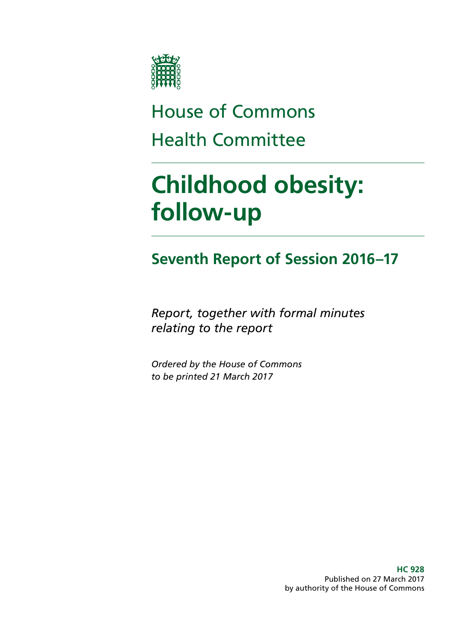

## House of Commons Health Committee

# **Childhood obesity: follow-up**

### **Seventh Report of Session 2016–17**

*Report, together with formal minutes relating to the report*

*Ordered by the House of Commons to be printed 21 March 2017*

> **HC 928** Published on 27 March 2017 by authority of the House of Commons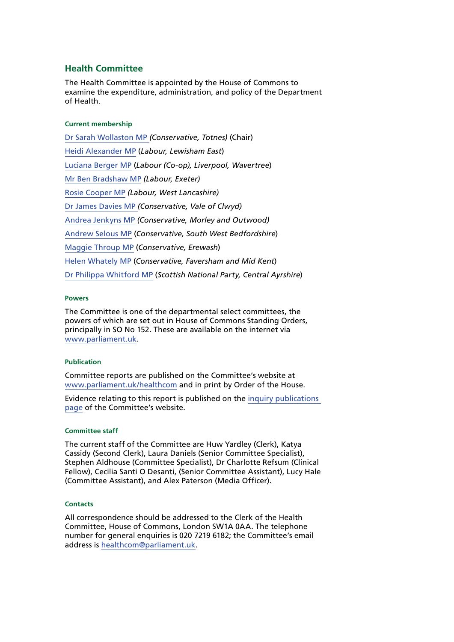#### **Health Committee**

The Health Committee is appointed by the House of Commons to examine the expenditure, administration, and policy of the Department of Health.

#### **Current membership**

[Dr Sarah Wollaston MP](http://www.parliament.uk/biographies/commons/dr-sarah-wollaston/4073) *(Conservative, Totnes)* (Chair) [Heidi Alexander MP](http://www.parliament.uk/biographies/commons/heidi-alexander/4038) (*Labour, Lewisham East*) [Luciana Berger MP](http://www.parliament.uk/biographies/commons/luciana-berger/4036) (*Labour (Co-op), Liverpool, Wavertree*) [Mr Ben Bradshaw MP](http://www.parliament.uk/biographies/commons/mr-ben-bradshaw/230) *(Labour, Exeter)* [Rosie Cooper MP](http://www.parliament.uk/biographies/commons/rosie-cooper/1538) *(Labour, West Lancashire)* [Dr James Davies MP](http://www.parliament.uk/biographies/commons/dr-james-davies/4476) *(Conservative, Vale of Clwyd)* [Andrea Jenkyns MP](http://www.parliament.uk/biographies/commons/andrea-jenkyns/4490) *(Conservative, Morley and Outwood)* [Andrew Selous MP](http://www.parliament.uk/biographies/commons/andrew-selous/1453) (*Conservative, South West Bedfordshire*) [Maggie Throup MP](http://www.parliament.uk/biographies/commons/maggie-throup/4447) (*Conservative, Erewash*) [Helen Whately MP](http://www.parliament.uk/biographies/commons/helen-whately/4527) (*Conservative, Faversham and Mid Kent*) [Dr Philippa Whitford MP](http://www.parliament.uk/biographies/commons/dr-philippa-whitford/4385) (*Scottish National Party, Central Ayrshire*)

#### **Powers**

The Committee is one of the departmental select committees, the powers of which are set out in House of Commons Standing Orders, principally in SO No 152. These are available on the internet via [www.parliament.uk](http://www.parliament.uk/).

#### **Publication**

Committee reports are published on the Committee's website at [www.parliament.uk/healthcom](http://www.parliament.uk/healthcom) and in print by Order of the House.

Evidence relating to this report is published on the [inquiry publications](http://www.parliament.uk/business/committees/committees-a-z/commons-select/health-committee/inquiries/parliament-2015/childhood-obesity-16-17/publications/)  [page](http://www.parliament.uk/business/committees/committees-a-z/commons-select/health-committee/inquiries/parliament-2015/childhood-obesity-16-17/publications/) of the Committee's website.

#### **Committee staff**

The current staff of the Committee are Huw Yardley (Clerk), Katya Cassidy (Second Clerk), Laura Daniels (Senior Committee Specialist), Stephen Aldhouse (Committee Specialist), Dr Charlotte Refsum (Clinical Fellow), Cecilia Santi O Desanti, (Senior Committee Assistant), Lucy Hale (Committee Assistant), and Alex Paterson (Media Officer).

#### **Contacts**

All correspondence should be addressed to the Clerk of the Health Committee, House of Commons, London SW1A 0AA. The telephone number for general enquiries is 020 7219 6182; the Committee's email address is [healthcom@parliament.uk](mailto:healthcom@parliament.uk).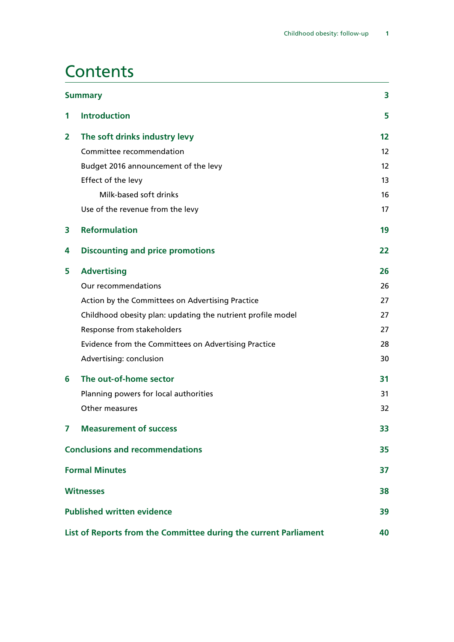### **Contents**

| <b>Summary</b>                                                   |                                                             |                   |
|------------------------------------------------------------------|-------------------------------------------------------------|-------------------|
| 1                                                                | <b>Introduction</b>                                         | 5                 |
| $\mathbf{2}$                                                     | The soft drinks industry levy                               | $12 \overline{ }$ |
|                                                                  | Committee recommendation                                    | $12 \overline{ }$ |
|                                                                  | Budget 2016 announcement of the levy                        | 12                |
|                                                                  | Effect of the levy                                          | 13                |
|                                                                  | Milk-based soft drinks                                      | 16                |
|                                                                  | Use of the revenue from the levy                            | 17                |
| 3                                                                | <b>Reformulation</b>                                        | 19                |
| 4                                                                | <b>Discounting and price promotions</b>                     | 22                |
| 5                                                                | <b>Advertising</b>                                          | 26                |
|                                                                  | Our recommendations                                         | 26                |
|                                                                  | Action by the Committees on Advertising Practice            | 27                |
|                                                                  | Childhood obesity plan: updating the nutrient profile model | 27                |
|                                                                  | Response from stakeholders                                  | 27                |
|                                                                  | Evidence from the Committees on Advertising Practice        | 28                |
|                                                                  | Advertising: conclusion                                     | 30                |
| 6                                                                | The out-of-home sector                                      | 31                |
|                                                                  | Planning powers for local authorities                       | 31                |
|                                                                  | Other measures                                              | 32                |
| 7                                                                | <b>Measurement of success</b>                               | 33                |
| <b>Conclusions and recommendations</b>                           |                                                             | 35                |
| <b>Formal Minutes</b>                                            |                                                             |                   |
| <b>Witnesses</b>                                                 |                                                             |                   |
| <b>Published written evidence</b>                                |                                                             |                   |
| List of Reports from the Committee during the current Parliament |                                                             |                   |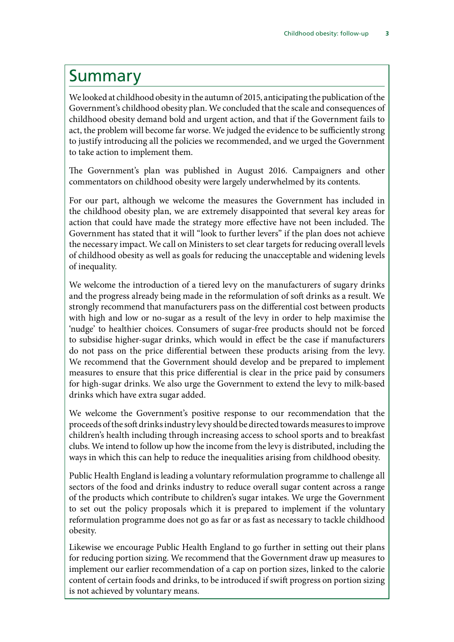### <span id="page-4-0"></span>Summary

We looked at childhood obesity in the autumn of 2015, anticipating the publication of the Government's childhood obesity plan. We concluded that the scale and consequences of childhood obesity demand bold and urgent action, and that if the Government fails to act, the problem will become far worse. We judged the evidence to be sufficiently strong to justify introducing all the policies we recommended, and we urged the Government to take action to implement them.

The Government's plan was published in August 2016. Campaigners and other commentators on childhood obesity were largely underwhelmed by its contents.

For our part, although we welcome the measures the Government has included in the childhood obesity plan, we are extremely disappointed that several key areas for action that could have made the strategy more effective have not been included. The Government has stated that it will "look to further levers" if the plan does not achieve the necessary impact. We call on Ministers to set clear targets for reducing overall levels of childhood obesity as well as goals for reducing the unacceptable and widening levels of inequality.

We welcome the introduction of a tiered levy on the manufacturers of sugary drinks and the progress already being made in the reformulation of soft drinks as a result. We strongly recommend that manufacturers pass on the differential cost between products with high and low or no-sugar as a result of the levy in order to help maximise the 'nudge' to healthier choices. Consumers of sugar-free products should not be forced to subsidise higher-sugar drinks, which would in effect be the case if manufacturers do not pass on the price differential between these products arising from the levy. We recommend that the Government should develop and be prepared to implement measures to ensure that this price differential is clear in the price paid by consumers for high-sugar drinks. We also urge the Government to extend the levy to milk-based drinks which have extra sugar added.

We welcome the Government's positive response to our recommendation that the proceeds of the soft drinks industry levy should be directed towards measures to improve children's health including through increasing access to school sports and to breakfast clubs. We intend to follow up how the income from the levy is distributed, including the ways in which this can help to reduce the inequalities arising from childhood obesity.

Public Health England is leading a voluntary reformulation programme to challenge all sectors of the food and drinks industry to reduce overall sugar content across a range of the products which contribute to children's sugar intakes. We urge the Government to set out the policy proposals which it is prepared to implement if the voluntary reformulation programme does not go as far or as fast as necessary to tackle childhood obesity.

Likewise we encourage Public Health England to go further in setting out their plans for reducing portion sizing. We recommend that the Government draw up measures to implement our earlier recommendation of a cap on portion sizes, linked to the calorie content of certain foods and drinks, to be introduced if swift progress on portion sizing is not achieved by voluntary means.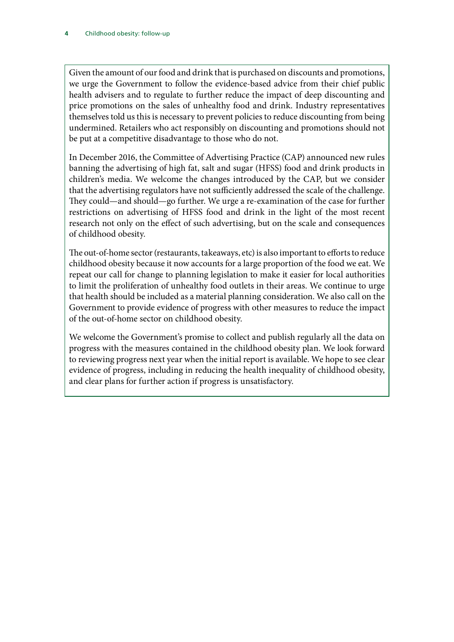Given the amount of our food and drink that is purchased on discounts and promotions, we urge the Government to follow the evidence-based advice from their chief public health advisers and to regulate to further reduce the impact of deep discounting and price promotions on the sales of unhealthy food and drink. Industry representatives themselves told us this is necessary to prevent policies to reduce discounting from being undermined. Retailers who act responsibly on discounting and promotions should not be put at a competitive disadvantage to those who do not.

In December 2016, the Committee of Advertising Practice (CAP) announced new rules banning the advertising of high fat, salt and sugar (HFSS) food and drink products in children's media. We welcome the changes introduced by the CAP, but we consider that the advertising regulators have not sufficiently addressed the scale of the challenge. They could—and should—go further. We urge a re-examination of the case for further restrictions on advertising of HFSS food and drink in the light of the most recent research not only on the effect of such advertising, but on the scale and consequences of childhood obesity.

The out-of-home sector (restaurants, takeaways, etc) is also important to efforts to reduce childhood obesity because it now accounts for a large proportion of the food we eat. We repeat our call for change to planning legislation to make it easier for local authorities to limit the proliferation of unhealthy food outlets in their areas. We continue to urge that health should be included as a material planning consideration. We also call on the Government to provide evidence of progress with other measures to reduce the impact of the out-of-home sector on childhood obesity.

We welcome the Government's promise to collect and publish regularly all the data on progress with the measures contained in the childhood obesity plan. We look forward to reviewing progress next year when the initial report is available. We hope to see clear evidence of progress, including in reducing the health inequality of childhood obesity, and clear plans for further action if progress is unsatisfactory.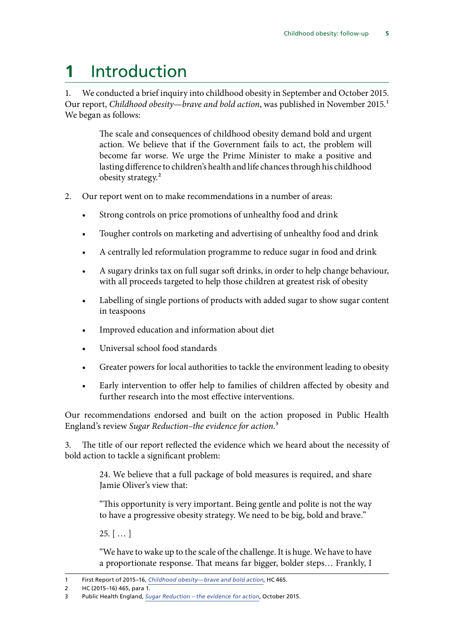## <span id="page-6-0"></span>**1** Introduction

1. We conducted a brief inquiry into childhood obesity in September and October 2015. Our report, *Childhood obesity—brave and bold action*, was published in November 2015.<sup>1</sup> We began as follows:

> The scale and consequences of childhood obesity demand bold and urgent action. We believe that if the Government fails to act, the problem will become far worse. We urge the Prime Minister to make a positive and lasting difference to children's health and life chances through his childhood obesity strategy.2

- 2. Our report went on to make recommendations in a number of areas:
	- Strong controls on price promotions of unhealthy food and drink
	- Tougher controls on marketing and advertising of unhealthy food and drink
	- A centrally led reformulation programme to reduce sugar in food and drink
	- A sugary drinks tax on full sugar soft drinks, in order to help change behaviour, with all proceeds targeted to help those children at greatest risk of obesity
	- Labelling of single portions of products with added sugar to show sugar content in teaspoons
	- Improved education and information about diet
	- Universal school food standards
	- Greater powers for local authorities to tackle the environment leading to obesity
	- Early intervention to offer help to families of children affected by obesity and further research into the most effective interventions.

Our recommendations endorsed and built on the action proposed in Public Health England's review *[Sugar Reduction–the evidence for action](https://www.gov.uk/government/uploads/system/uploads/attachment_data/file/470179/Sugar_reduction_The_evidence_for_action.pdf)*.3

3. The title of our report reflected the evidence which we heard about the necessity of bold action to tackle a significant problem:

> 24. We believe that a full package of bold measures is required, and share Jamie Oliver's view that:

> "This opportunity is very important. Being gentle and polite is not the way to have a progressive obesity strategy. We need to be big, bold and brave."

 $25.$  [ ... ]

"We have to wake up to the scale of the challenge. It is huge. We have to have a proportionate response. That means far bigger, bolder steps… Frankly, I

<sup>1</sup> First Report of 2015–16, *[Childhood obesity—brave and bold action](https://www.publications.parliament.uk/pa/cm201516/cmselect/cmhealth/465/465.pdf)*, HC 465.

<sup>2</sup> HC (2015–16) 465, para 1.

<sup>3</sup> Public Health England, *[Sugar Reduction – the evidence for action](https://www.gov.uk/government/uploads/system/uploads/attachment_data/file/470179/Sugar_reduction_The_evidence_for_action.pdf)*, October 2015.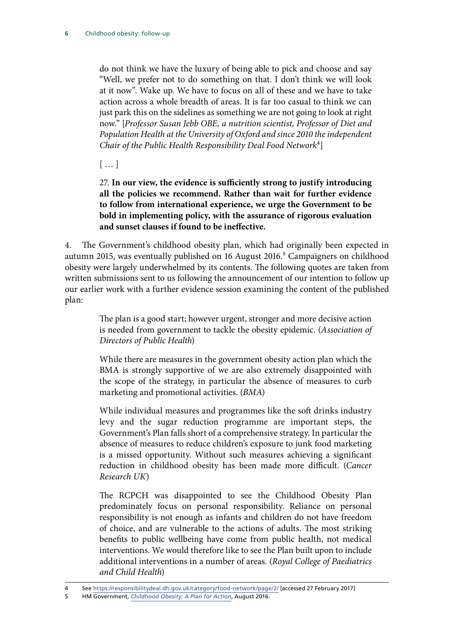do not think we have the luxury of being able to pick and choose and say "Well, we prefer not to do something on that. I don't think we will look at it now". Wake up. We have to focus on all of these and we have to take action across a whole breadth of areas. It is far too casual to think we can just park this on the sidelines as something we are not going to look at right now." [*Professor Susan Jebb OBE, a nutrition scientist, Professor of Diet and Population Health at the University of Oxford and since 2010 the independent Chair of the Public Health Responsibility Deal Food Network*4]

[ … ]

27. **In our view, the evidence is sufficiently strong to justify introducing all the policies we recommend. Rather than wait for further evidence to follow from international experience, we urge the Government to be bold in implementing policy, with the assurance of rigorous evaluation and sunset clauses if found to be ineffective.**

4. The Government's childhood obesity plan, which had originally been expected in autumn 2015, was eventually published on 16 August 2016.<sup>5</sup> Campaigners on childhood obesity were largely underwhelmed by its contents. The following quotes are taken from written submissions sent to us following the announcement of our intention to follow up our earlier work with a further evidence session examining the content of the published plan:

> The plan is a good start; however urgent, stronger and more decisive action is needed from government to tackle the obesity epidemic. (*Association of Directors of Public Health*)

> While there are measures in the government obesity action plan which the BMA is strongly supportive of we are also extremely disappointed with the scope of the strategy, in particular the absence of measures to curb marketing and promotional activities. (*BMA*)

> While individual measures and programmes like the soft drinks industry levy and the sugar reduction programme are important steps, the Government's Plan falls short of a comprehensive strategy. In particular the absence of measures to reduce children's exposure to junk food marketing is a missed opportunity. Without such measures achieving a significant reduction in childhood obesity has been made more difficult. (*Cancer Research UK*)

> The RCPCH was disappointed to see the Childhood Obesity Plan predominately focus on personal responsibility. Reliance on personal responsibility is not enough as infants and children do not have freedom of choice, and are vulnerable to the actions of adults. The most striking benefits to public wellbeing have come from public health, not medical interventions. We would therefore like to see the Plan built upon to include additional interventions in a number of areas. (*Royal College of Paediatrics and Child Health*)

<sup>4</sup> See<https://responsibilitydeal.dh.gov.uk/category/food-network/page/2/> [accessed 27 February 2017]

<sup>5</sup> HM Government, *[Childhood Obesity: A Plan for Action](https://www.gov.uk/government/uploads/system/uploads/attachment_data/file/546588/Childhood_obesity_2016__2__acc.pdf)*, August 2016.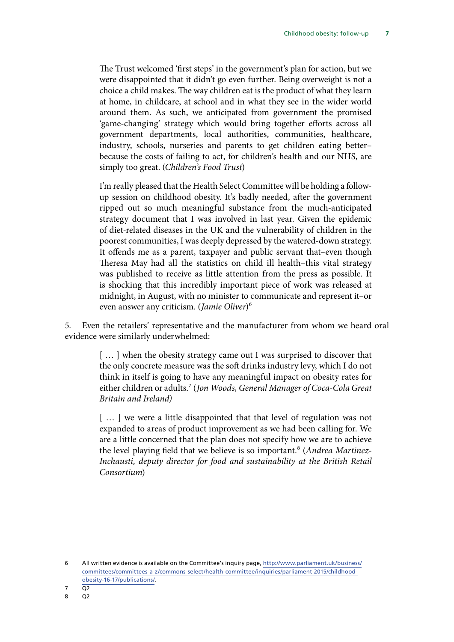The Trust welcomed 'first steps' in the government's plan for action, but we were disappointed that it didn't go even further. Being overweight is not a choice a child makes. The way children eat is the product of what they learn at home, in childcare, at school and in what they see in the wider world around them. As such, we anticipated from government the promised 'game-changing' strategy which would bring together efforts across all government departments, local authorities, communities, healthcare, industry, schools, nurseries and parents to get children eating better– because the costs of failing to act, for children's health and our NHS, are simply too great. (*Children's Food Trust*)

I'm really pleased that the Health Select Committee will be holding a followup session on childhood obesity. It's badly needed, after the government ripped out so much meaningful substance from the much-anticipated strategy document that I was involved in last year. Given the epidemic of diet-related diseases in the UK and the vulnerability of children in the poorest communities, I was deeply depressed by the watered-down strategy. It offends me as a parent, taxpayer and public servant that–even though Theresa May had all the statistics on child ill health–this vital strategy was published to receive as little attention from the press as possible. It is shocking that this incredibly important piece of work was released at midnight, in August, with no minister to communicate and represent it–or even answer any criticism. (*Jamie Oliver*)6

5. Even the retailers' representative and the manufacturer from whom we heard oral evidence were similarly underwhelmed:

> [...] when the obesity strategy came out I was surprised to discover that the only concrete measure was the soft drinks industry levy, which I do not think in itself is going to have any meaningful impact on obesity rates for either children or adults.7 (*Jon Woods, General Manager of Coca-Cola Great Britain and Ireland)*

> [...] we were a little disappointed that that level of regulation was not expanded to areas of product improvement as we had been calling for. We are a little concerned that the plan does not specify how we are to achieve the level playing field that we believe is so important.8 (*Andrea Martinez-Inchausti, deputy director for food and sustainability at the British Retail Consortium*)

6 All written evidence is available on the Committee's inquiry page, [http://www.parliament.uk/business/](http://www.parliament.uk/business/committees/committees-a-z/commons-select/health-committee/inquiries/parliament-2015/childhood-obesity-16-17/publications/) [committees/committees-a-z/commons-select/health-committee/inquiries/parliament-2015/childhood](http://www.parliament.uk/business/committees/committees-a-z/commons-select/health-committee/inquiries/parliament-2015/childhood-obesity-16-17/publications/)[obesity-16-17/publications/.](http://www.parliament.uk/business/committees/committees-a-z/commons-select/health-committee/inquiries/parliament-2015/childhood-obesity-16-17/publications/)

<sup>7</sup> Q2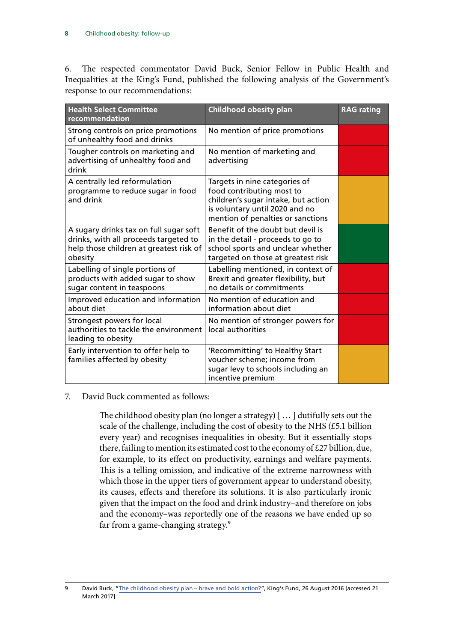6. The respected commentator David Buck, Senior Fellow in Public Health and Inequalities at the King's Fund, published the following analysis of the Government's response to our recommendations:

| <b>Health Select Committee</b><br>recommendation                                                                                      | <b>Childhood obesity plan</b>                                                                                                                                            | <b>RAG rating</b> |
|---------------------------------------------------------------------------------------------------------------------------------------|--------------------------------------------------------------------------------------------------------------------------------------------------------------------------|-------------------|
| Strong controls on price promotions<br>of unhealthy food and drinks                                                                   | No mention of price promotions                                                                                                                                           |                   |
| Tougher controls on marketing and<br>advertising of unhealthy food and<br>drink                                                       | No mention of marketing and<br>advertising                                                                                                                               |                   |
| A centrally led reformulation<br>programme to reduce sugar in food<br>and drink                                                       | Targets in nine categories of<br>food contributing most to<br>children's sugar intake, but action<br>is voluntary until 2020 and no<br>mention of penalties or sanctions |                   |
| A sugary drinks tax on full sugar soft<br>drinks, with all proceeds targeted to<br>help those children at greatest risk of<br>obesity | Benefit of the doubt but devil is<br>in the detail - proceeds to go to<br>school sports and unclear whether<br>targeted on those at greatest risk                        |                   |
| Labelling of single portions of<br>products with added sugar to show<br>sugar content in teaspoons                                    | Labelling mentioned, in context of<br>Brexit and greater flexibility, but<br>no details or commitments                                                                   |                   |
| Improved education and information<br>about diet                                                                                      | No mention of education and<br>information about diet                                                                                                                    |                   |
| Strongest powers for local<br>authorities to tackle the environment<br>leading to obesity                                             | No mention of stronger powers for<br>local authorities                                                                                                                   |                   |
| Early intervention to offer help to<br>families affected by obesity                                                                   | 'Recommitting' to Healthy Start<br>voucher scheme; income from<br>sugar levy to schools including an<br>incentive premium                                                |                   |

#### 7. David Buck commented as follows:

The childhood obesity plan (no longer a strategy) [ … ] dutifully sets out the scale of the challenge, including the cost of obesity to the NHS (£5.1 billion every year) and recognises inequalities in obesity. But it essentially stops there, failing to mention its estimated cost to the economy of £27 billion, due, for example, to its effect on productivity, earnings and welfare payments. This is a telling omission, and indicative of the extreme narrowness with which those in the upper tiers of government appear to understand obesity, its causes, effects and therefore its solutions. It is also particularly ironic given that the impact on the food and drink industry–and therefore on jobs and the economy–was reportedly one of the reasons we have ended up so far from a game-changing strategy.<sup>9</sup>

<sup>9</sup> David Buck, "[The childhood obesity plan – brave and bold action?"](https://www.kingsfund.org.uk/blog/2016/08/childhood-obesity-plan), King's Fund, 26 August 2016 [accessed 21 March 2017]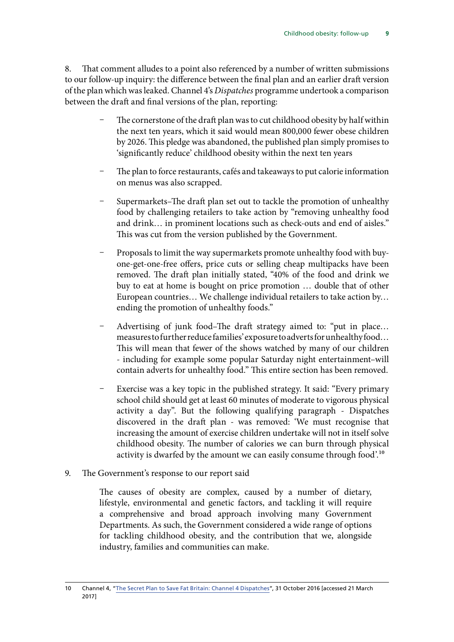<span id="page-10-0"></span>8. That comment alludes to a point also referenced by a number of written submissions to our follow-up inquiry: the difference between the final plan and an earlier draft version of the plan which was leaked. Channel 4's *Dispatches* programme undertook a comparison between the draft and final versions of the plan, reporting:

- The cornerstone of the draft plan was to cut childhood obesity by half within the next ten years, which it said would mean 800,000 fewer obese children by 2026. This pledge was abandoned, the published plan simply promises to 'significantly reduce' childhood obesity within the next ten years
- The plan to force restaurants, cafés and takeaways to put calorie information on menus was also scrapped.
- Supermarkets–The draft plan set out to tackle the promotion of unhealthy food by challenging retailers to take action by "removing unhealthy food and drink… in prominent locations such as check-outs and end of aisles." This was cut from the version published by the Government.
- Proposals to limit the way supermarkets promote unhealthy food with buyone-get-one-free offers, price cuts or selling cheap multipacks have been removed. The draft plan initially stated, "40% of the food and drink we buy to eat at home is bought on price promotion … double that of other European countries… We challenge individual retailers to take action by… ending the promotion of unhealthy foods."
- Advertising of junk food–The draft strategy aimed to: "put in place... measures to further reduce families' exposure to adverts for unhealthy food… This will mean that fewer of the shows watched by many of our children - including for example some popular Saturday night entertainment–will contain adverts for unhealthy food." This entire section has been removed.
- Exercise was a key topic in the published strategy. It said: "Every primary school child should get at least 60 minutes of moderate to vigorous physical activity a day". But the following qualifying paragraph - Dispatches discovered in the draft plan - was removed: 'We must recognise that increasing the amount of exercise children undertake will not in itself solve childhood obesity. The number of calories we can burn through physical activity is dwarfed by the amount we can easily consume through food'.10
- 9. The Government's response to our report said

The causes of obesity are complex, caused by a number of dietary, lifestyle, environmental and genetic factors, and tackling it will require a comprehensive and broad approach involving many Government Departments. As such, the Government considered a wide range of options for tackling childhood obesity, and the contribution that we, alongside industry, families and communities can make.

<sup>10</sup> Channel 4, "[The Secret Plan to Save Fat Britain: Channel 4 Dispatches](http://www.channel4.com/info/press/news/the-secret-plan-to-save-fat-britain-channel-4-dispatches-x)", 31 October 2016 [accessed 21 March 2017]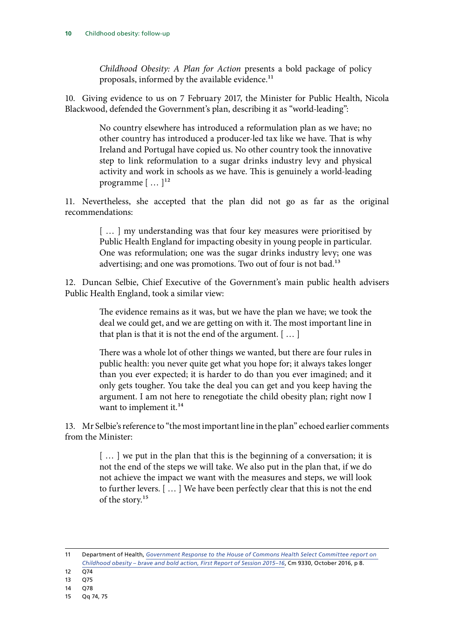*Childhood Obesity: A Plan for Action* presents a bold package of policy proposals, informed by the available evidence.<sup>11</sup>

10. Giving evidence to us on 7 February 2017, the Minister for Public Health, Nicola Blackwood, defended the Government's plan, describing it as "world-leading":

> No country elsewhere has introduced a reformulation plan as we have; no other country has introduced a producer-led tax like we have. That is why Ireland and Portugal have copied us. No other country took the innovative step to link reformulation to a sugar drinks industry levy and physical activity and work in schools as we have. This is genuinely a world-leading programme  $[\,\dots\,]^{12}$

11. Nevertheless, she accepted that the plan did not go as far as the original recommendations:

> [...] my understanding was that four key measures were prioritised by Public Health England for impacting obesity in young people in particular. One was reformulation; one was the sugar drinks industry levy; one was advertising; and one was promotions. Two out of four is not bad.<sup>13</sup>

12. Duncan Selbie, Chief Executive of the Government's main public health advisers Public Health England, took a similar view:

> The evidence remains as it was, but we have the plan we have; we took the deal we could get, and we are getting on with it. The most important line in that plan is that it is not the end of the argument. [ … ]

> There was a whole lot of other things we wanted, but there are four rules in public health: you never quite get what you hope for; it always takes longer than you ever expected; it is harder to do than you ever imagined; and it only gets tougher. You take the deal you can get and you keep having the argument. I am not here to renegotiate the child obesity plan; right now I want to implement it.<sup>14</sup>

13. Mr Selbie's reference to "the most important line in the plan" echoed earlier comments from the Minister:

> [ … ] we put in the plan that this is the beginning of a conversation; it is not the end of the steps we will take. We also put in the plan that, if we do not achieve the impact we want with the measures and steps, we will look to further levers. [ … ] We have been perfectly clear that this is not the end of the story.<sup>15</sup>

13 Q75

<sup>11</sup> Department of Health, *[Government Response to the House of Commons Health Select Committee report on](https://www.gov.uk/government/uploads/system/uploads/attachment_data/file/552056/HSC_response_9_9_16.pdf)  [Childhood obesity – brave and bold action, First Report of Session 2015–16](https://www.gov.uk/government/uploads/system/uploads/attachment_data/file/552056/HSC_response_9_9_16.pdf)*, Cm 9330, October 2016, p 8.

 $12 \overline{074}$ 

<sup>14</sup> Q78

<sup>15</sup> Qq 74, 75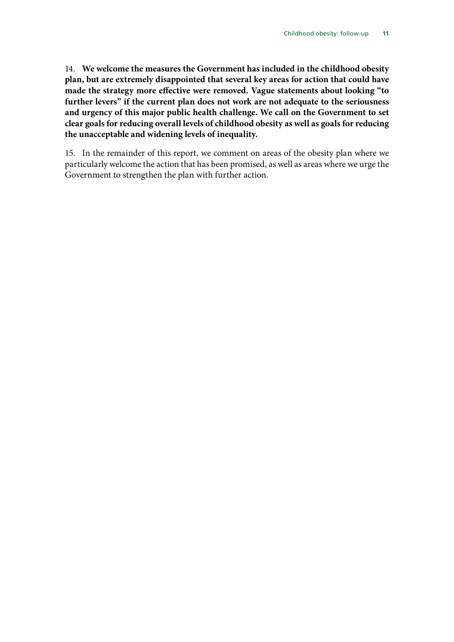14. **We welcome the measures the Government has included in the childhood obesity plan, but are extremely disappointed that several key areas for action that could have made the strategy more effective were removed. Vague statements about looking "to further levers" if the current plan does not work are not adequate to the seriousness and urgency of this major public health challenge. We call on the Government to set clear goals for reducing overall levels of childhood obesity as well as goals for reducing the unacceptable and widening levels of inequality.**

15. In the remainder of this report, we comment on areas of the obesity plan where we particularly welcome the action that has been promised, as well as areas where we urge the Government to strengthen the plan with further action.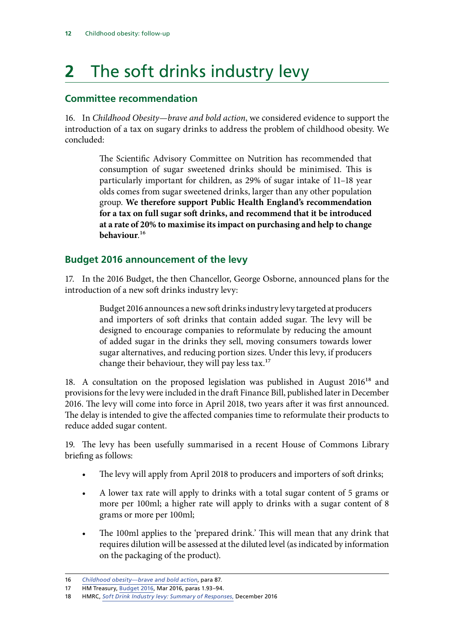## <span id="page-13-0"></span>**2** The soft drinks industry levy

### **Committee recommendation**

16. In *Childhood Obesity—brave and bold action*, we considered evidence to support the introduction of a tax on sugary drinks to address the problem of childhood obesity. We concluded:

> The Scientific Advisory Committee on Nutrition has recommended that consumption of sugar sweetened drinks should be minimised. This is particularly important for children, as 29% of sugar intake of 11–18 year olds comes from sugar sweetened drinks, larger than any other population group. **We therefore support Public Health England's recommendation for a tax on full sugar soft drinks, and recommend that it be introduced at a rate of 20% to maximise its impact on purchasing and help to change behaviour**.16

### **Budget 2016 announcement of the levy**

17. In the 2016 Budget, the then Chancellor, George Osborne, announced plans for the introduction of a new soft drinks industry levy:

> Budget 2016 announces a new soft drinks industry levy targeted at producers and importers of soft drinks that contain added sugar. The levy will be designed to encourage companies to reformulate by reducing the amount of added sugar in the drinks they sell, moving consumers towards lower sugar alternatives, and reducing portion sizes. Under this levy, if producers change their behaviour, they will pay less tax.<sup>17</sup>

18. A consultation on the proposed legislation was published in August  $2016^{18}$  and provisions for the levy were included in the draft Finance Bill, published later in December 2016. The levy will come into force in April 2018, two years after it was first announced. The delay is intended to give the affected companies time to reformulate their products to reduce added sugar content.

19. The levy has been usefully summarised in a recent House of Commons Library briefing as follows:

- The levy will apply from April 2018 to producers and importers of soft drinks;
- A lower tax rate will apply to drinks with a total sugar content of 5 grams or more per 100ml; a higher rate will apply to drinks with a sugar content of 8 grams or more per 100ml;
- The 100ml applies to the 'prepared drink.' This will mean that any drink that requires dilution will be assessed at the diluted level (as indicated by information on the packaging of the product).

<sup>16</sup> *[Childhood obesity—brave and bold action](https://www.publications.parliament.uk/pa/cm201516/cmselect/cmhealth/465/465.pdf)*, para 87.

<sup>17</sup> HM Treasury, [Budget 2016](https://www.gov.uk/government/uploads/system/uploads/attachment_data/file/508193/HMT_Budget_2016_Web_Accessible.pdf), Mar 2016, paras 1.93–94.

<sup>18</sup> HMRC, *[Soft Drink Industry levy: Summary of Responses](https://www.gov.uk/government/consultations/soft-drinks-industry-levy)*, December 2016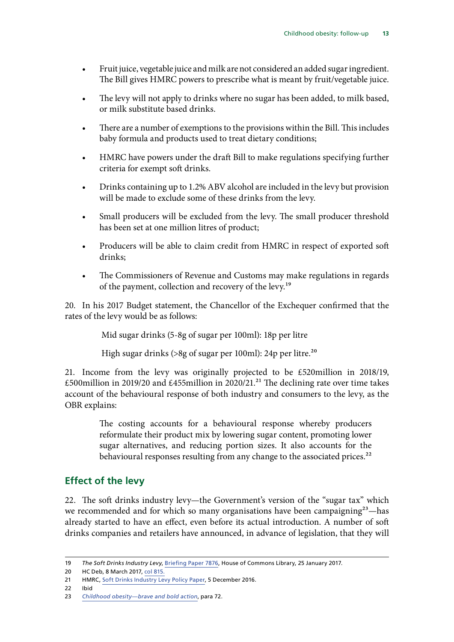- <span id="page-14-0"></span>• Fruit juice, vegetable juice and milk are not considered an added sugar ingredient. The Bill gives HMRC powers to prescribe what is meant by fruit/vegetable juice.
- The levy will not apply to drinks where no sugar has been added, to milk based, or milk substitute based drinks.
- There are a number of exemptions to the provisions within the Bill. This includes baby formula and products used to treat dietary conditions;
- HMRC have powers under the draft Bill to make regulations specifying further criteria for exempt soft drinks.
- Drinks containing up to 1.2% ABV alcohol are included in the levy but provision will be made to exclude some of these drinks from the levy.
- Small producers will be excluded from the levy. The small producer threshold has been set at one million litres of product;
- Producers will be able to claim credit from HMRC in respect of exported soft drinks;
- The Commissioners of Revenue and Customs may make regulations in regards of the payment, collection and recovery of the levy.<sup>19</sup>

20. In his 2017 Budget statement, the Chancellor of the Exchequer confirmed that the rates of the levy would be as follows:

Mid sugar drinks (5-8g of sugar per 100ml): 18p per litre

High sugar drinks (>8g of sugar per 100ml): 24p per litre.<sup>20</sup>

21. Income from the levy was originally projected to be £520million in 2018/19, £500million in 2019/20 and £455million in 2020/21.<sup>21</sup> The declining rate over time takes account of the behavioural response of both industry and consumers to the levy, as the OBR explains:

> The costing accounts for a behavioural response whereby producers reformulate their product mix by lowering sugar content, promoting lower sugar alternatives, and reducing portion sizes. It also accounts for the behavioural responses resulting from any change to the associated prices.<sup>22</sup>

### **Effect of the levy**

22. The soft drinks industry levy—the Government's version of the "sugar tax" which we recommended and for which so many organisations have been campaigning<sup>23</sup>—has already started to have an effect, even before its actual introduction. A number of soft drinks companies and retailers have announced, in advance of legislation, that they will

<sup>19</sup> *The Soft Drinks Industry Levy*, [Briefing Paper 7876](http://researchbriefings.files.parliament.uk/documents/CBP-7876/CBP-7876.pdf), House of Commons Library, 25 January 2017.

<sup>20</sup> HC Deb, 8 March 2017, [col 815](https://goo.gl/itbMve).

<sup>21</sup> HMRC, [Soft Drinks Industry Levy Policy Paper,](https://www.gov.uk/government/publications/soft-drinks-industry-levy/soft-drinks-industry-levy) 5 December 2016.

<sup>22</sup> Ibid

<sup>23</sup> *[Childhood obesity—brave and bold action](https://www.publications.parliament.uk/pa/cm201516/cmselect/cmhealth/465/465.pdf)*, para 72.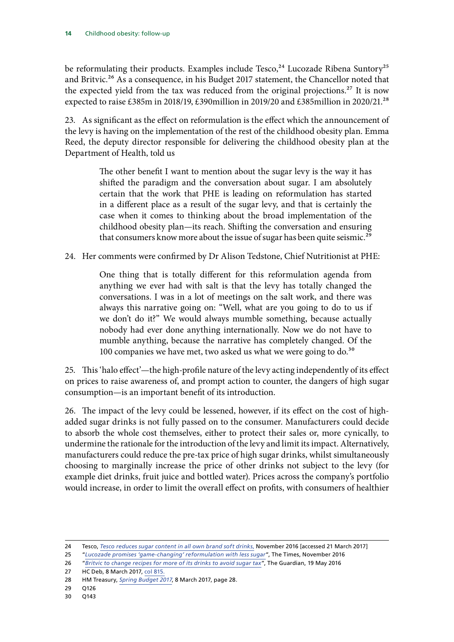be reformulating their products. Examples include Tesco,<sup>24</sup> Lucozade Ribena Suntory<sup>25</sup> and Britvic.<sup>26</sup> As a consequence, in his Budget 2017 statement, the Chancellor noted that the expected yield from the tax was reduced from the original projections.<sup>27</sup> It is now expected to raise £385m in 2018/19, £390million in 2019/20 and £385million in 2020/21.<sup>28</sup>

23. As significant as the effect on reformulation is the effect which the announcement of the levy is having on the implementation of the rest of the childhood obesity plan. Emma Reed, the deputy director responsible for delivering the childhood obesity plan at the Department of Health, told us

> The other benefit I want to mention about the sugar levy is the way it has shifted the paradigm and the conversation about sugar. I am absolutely certain that the work that PHE is leading on reformulation has started in a different place as a result of the sugar levy, and that is certainly the case when it comes to thinking about the broad implementation of the childhood obesity plan—its reach. Shifting the conversation and ensuring that consumers know more about the issue of sugar has been quite seismic.<sup>29</sup>

24. Her comments were confirmed by Dr Alison Tedstone, Chief Nutritionist at PHE:

One thing that is totally different for this reformulation agenda from anything we ever had with salt is that the levy has totally changed the conversations. I was in a lot of meetings on the salt work, and there was always this narrative going on: "Well, what are you going to do to us if we don't do it?" We would always mumble something, because actually nobody had ever done anything internationally. Now we do not have to mumble anything, because the narrative has completely changed. Of the 100 companies we have met, two asked us what we were going to do.<sup>30</sup>

25. This 'halo effect'—the high-profile nature of the levy acting independently of its effect on prices to raise awareness of, and prompt action to counter, the dangers of high sugar consumption—is an important benefit of its introduction.

26. The impact of the levy could be lessened, however, if its effect on the cost of highadded sugar drinks is not fully passed on to the consumer. Manufacturers could decide to absorb the whole cost themselves, either to protect their sales or, more cynically, to undermine the rationale for the introduction of the levy and limit its impact. Alternatively, manufacturers could reduce the pre-tax price of high sugar drinks, whilst simultaneously choosing to marginally increase the price of other drinks not subject to the levy (for example diet drinks, fruit juice and bottled water). Prices across the company's portfolio would increase, in order to limit the overall effect on profits, with consumers of healthier

27 HC Deb, 8 March 2017, [col 815](https://goo.gl/itbMve).

<sup>24</sup> Tesco, *[Tesco reduces sugar content in all own brand soft drinks](https://www.tescoplc.com/news/news-releases/2016/tesco-reduces-sugar-content-in-all-own-brand-soft-drinks/)*, November 2016 [accessed 21 March 2017]

<sup>25</sup> "*[Lucozade promises 'game-changing' reformulation with less sugar](http://www.thetimes.co.uk/article/lucozade-promises-game-changing-reformulation-with-less-sugar-jqxsptkr6)*", The Times, November 2016

<sup>26</sup> "*[Britvic to change recipes for more of its drinks to avoid sugar tax](https://www.theguardian.com/business/2016/may/19/britvic-change-recipes-sugar-tax-profit-rise)*", The Guardian, 19 May 2016

<sup>28</sup> HM Treasury, *[Spring Budget 2017](https://www.gov.uk/government/uploads/system/uploads/attachment_data/file/597471/spring_budget_2017_print.pdf)*, 8 March 2017, page 28.

<sup>29</sup> Q126

<sup>30</sup> Q143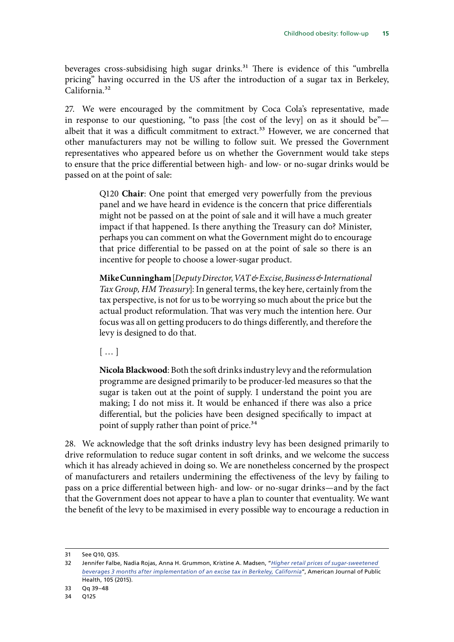beverages cross-subsidising high sugar drinks.<sup>31</sup> There is evidence of this "umbrella pricing" having occurred in the US after the introduction of a sugar tax in Berkeley, California<sup>32</sup>

27. We were encouraged by the commitment by Coca Cola's representative, made in response to our questioning, "to pass [the cost of the levy] on as it should be" albeit that it was a difficult commitment to extract.<sup>33</sup> However, we are concerned that other manufacturers may not be willing to follow suit. We pressed the Government representatives who appeared before us on whether the Government would take steps to ensure that the price differential between high- and low- or no-sugar drinks would be passed on at the point of sale:

> Q120 **Chair**: One point that emerged very powerfully from the previous panel and we have heard in evidence is the concern that price differentials might not be passed on at the point of sale and it will have a much greater impact if that happened. Is there anything the Treasury can do? Minister, perhaps you can comment on what the Government might do to encourage that price differential to be passed on at the point of sale so there is an incentive for people to choose a lower-sugar product.

> **Mike Cunningham** [*Deputy Director, VAT & Excise, Business & International Tax Group, HM Treasury*]: In general terms, the key here, certainly from the tax perspective, is not for us to be worrying so much about the price but the actual product reformulation. That was very much the intention here. Our focus was all on getting producers to do things differently, and therefore the levy is designed to do that.

[ … ]

**Nicola Blackwood**: Both the soft drinks industry levy and the reformulation programme are designed primarily to be producer-led measures so that the sugar is taken out at the point of supply. I understand the point you are making; I do not miss it. It would be enhanced if there was also a price differential, but the policies have been designed specifically to impact at point of supply rather than point of price.<sup>34</sup>

28. We acknowledge that the soft drinks industry levy has been designed primarily to drive reformulation to reduce sugar content in soft drinks, and we welcome the success which it has already achieved in doing so. We are nonetheless concerned by the prospect of manufacturers and retailers undermining the effectiveness of the levy by failing to pass on a price differential between high- and low- or no-sugar drinks—and by the fact that the Government does not appear to have a plan to counter that eventuality. We want the benefit of the levy to be maximised in every possible way to encourage a reduction in

<sup>31</sup> See Q10, Q35.

<sup>32</sup> Jennifer Falbe, Nadia Rojas, Anna H. Grummon, Kristine A. Madsen, "*[Higher retail prices of sugar-sweetened](https://www.ncbi.nlm.nih.gov/pmc/articles/PMC4605188/)  [beverages 3 months after implementation of an excise tax in Berkeley, California](https://www.ncbi.nlm.nih.gov/pmc/articles/PMC4605188/)*", American Journal of Public Health, 105 (2015).

<sup>33</sup> Qq 39–48

<sup>34</sup> Q125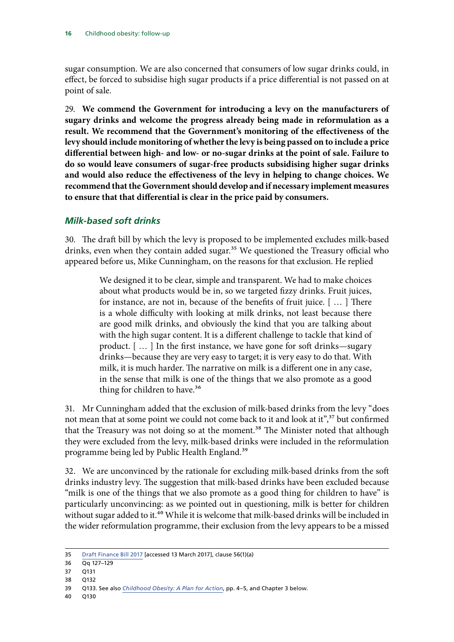<span id="page-17-0"></span>sugar consumption. We are also concerned that consumers of low sugar drinks could, in effect, be forced to subsidise high sugar products if a price differential is not passed on at point of sale.

29. **We commend the Government for introducing a levy on the manufacturers of sugary drinks and welcome the progress already being made in reformulation as a result. We recommend that the Government's monitoring of the effectiveness of the levy should include monitoring of whether the levy is being passed on to include a price differential between high- and low- or no-sugar drinks at the point of sale. Failure to do so would leave consumers of sugar-free products subsidising higher sugar drinks and would also reduce the effectiveness of the levy in helping to change choices. We recommend that the Government should develop and if necessary implement measures to ensure that that differential is clear in the price paid by consumers.**

#### *Milk-based soft drinks*

30. The draft bill by which the levy is proposed to be implemented excludes milk-based drinks, even when they contain added sugar.<sup>35</sup> We questioned the Treasury official who appeared before us, Mike Cunningham, on the reasons for that exclusion. He replied

> We designed it to be clear, simple and transparent. We had to make choices about what products would be in, so we targeted fizzy drinks. Fruit juices, for instance, are not in, because of the benefits of fruit juice. [ … ] There is a whole difficulty with looking at milk drinks, not least because there are good milk drinks, and obviously the kind that you are talking about with the high sugar content. It is a different challenge to tackle that kind of product. [ … ] In the first instance, we have gone for soft drinks—sugary drinks—because they are very easy to target; it is very easy to do that. With milk, it is much harder. The narrative on milk is a different one in any case, in the sense that milk is one of the things that we also promote as a good thing for children to have.<sup>36</sup>

31. Mr Cunningham added that the exclusion of milk-based drinks from the levy "does not mean that at some point we could not come back to it and look at it",<sup>37</sup> but confirmed that the Treasury was not doing so at the moment.<sup>38</sup> The Minister noted that although they were excluded from the levy, milk-based drinks were included in the reformulation programme being led by Public Health England.39

32. We are unconvinced by the rationale for excluding milk-based drinks from the soft drinks industry levy. The suggestion that milk-based drinks have been excluded because "milk is one of the things that we also promote as a good thing for children to have" is particularly unconvincing: as we pointed out in questioning, milk is better for children without sugar added to it.<sup>40</sup> While it is welcome that milk-based drinks will be included in the wider reformulation programme, their exclusion from the levy appears to be a missed

<sup>35</sup> [Draft Finance Bill 2017](https://www.gov.uk/government/uploads/system/uploads/attachment_data/file/574680/newbook_book.pdf) [accessed 13 March 2017], clause 56(1)(a)

<sup>36</sup> Qq 127–129

<sup>37</sup> Q131

<sup>38</sup> Q132

<sup>39</sup> Q133. See also *[Childhood Obesity: A Plan for Action](https://www.gov.uk/government/uploads/system/uploads/attachment_data/file/546588/Childhood_obesity_2016__2__acc.pdf)*, pp. 4–5, and Chapter 3 below.

<sup>40</sup> Q130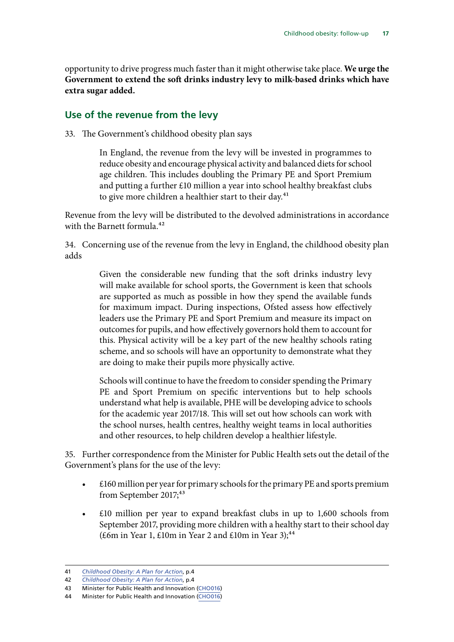<span id="page-18-0"></span>opportunity to drive progress much faster than it might otherwise take place. **We urge the Government to extend the soft drinks industry levy to milk-based drinks which have extra sugar added.**

#### **Use of the revenue from the levy**

33. The Government's childhood obesity plan says

In England, the revenue from the levy will be invested in programmes to reduce obesity and encourage physical activity and balanced diets for school age children. This includes doubling the Primary PE and Sport Premium and putting a further £10 million a year into school healthy breakfast clubs to give more children a healthier start to their day.<sup>41</sup>

Revenue from the levy will be distributed to the devolved administrations in accordance with the Barnett formula.<sup>42</sup>

34. Concerning use of the revenue from the levy in England, the childhood obesity plan adds

> Given the considerable new funding that the soft drinks industry levy will make available for school sports, the Government is keen that schools are supported as much as possible in how they spend the available funds for maximum impact. During inspections, Ofsted assess how effectively leaders use the Primary PE and Sport Premium and measure its impact on outcomes for pupils, and how effectively governors hold them to account for this. Physical activity will be a key part of the new healthy schools rating scheme, and so schools will have an opportunity to demonstrate what they are doing to make their pupils more physically active.

> Schools will continue to have the freedom to consider spending the Primary PE and Sport Premium on specific interventions but to help schools understand what help is available, PHE will be developing advice to schools for the academic year 2017/18. This will set out how schools can work with the school nurses, health centres, healthy weight teams in local authorities and other resources, to help children develop a healthier lifestyle.

35. Further correspondence from the Minister for Public Health sets out the detail of the Government's plans for the use of the levy:

- £160 million per year for primary schools for the primary PE and sports premium from September 2017;<sup>43</sup>
- $£10$  million per year to expand breakfast clubs in up to  $1,600$  schools from September 2017, providing more children with a healthy start to their school day (£6m in Year 1,  $£10m$  in Year 2 and  $£10m$  in Year 3);<sup>44</sup>

<sup>41</sup> *[Childhood Obesity: A Plan for Action](https://www.gov.uk/government/uploads/system/uploads/attachment_data/file/546588/Childhood_obesity_2016__2__acc.pdf)*, p.4

<sup>42</sup> *[Childhood Obesity: A Plan for Action](https://www.gov.uk/government/uploads/system/uploads/attachment_data/file/546588/Childhood_obesity_2016__2__acc.pdf)*, p.4

<sup>43</sup> Minister for Public Health and Innovation [\(CHO016\)](http://data.parliament.uk/writtenevidence/committeeevidence.svc/evidencedocument/health-committee/childhood-obesity-followup/written/48921.html)

<sup>44</sup> Minister for Public Health and Innovation [\(CHO016\)](http://data.parliament.uk/writtenevidence/committeeevidence.svc/evidencedocument/health-committee/childhood-obesity-followup/written/48921.html)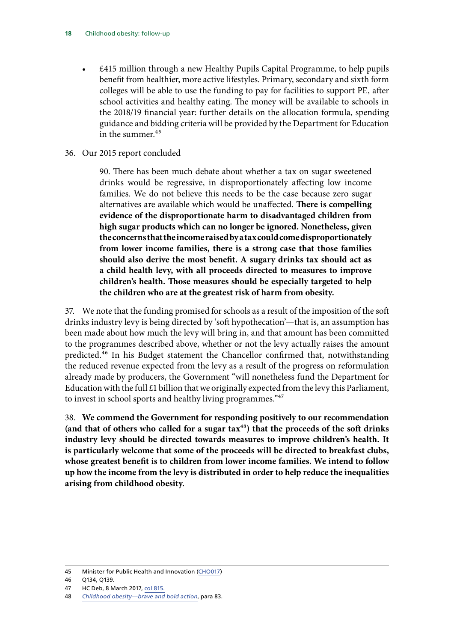• £415 million through a new Healthy Pupils Capital Programme, to help pupils benefit from healthier, more active lifestyles. Primary, secondary and sixth form colleges will be able to use the funding to pay for facilities to support PE, after school activities and healthy eating. The money will be available to schools in the 2018/19 financial year: further details on the allocation formula, spending guidance and bidding criteria will be provided by the Department for Education in the summer.<sup>45</sup>

#### 36. Our 2015 report concluded

90. There has been much debate about whether a tax on sugar sweetened drinks would be regressive, in disproportionately affecting low income families. We do not believe this needs to be the case because zero sugar alternatives are available which would be unaffected. **There is compelling evidence of the disproportionate harm to disadvantaged children from high sugar products which can no longer be ignored. Nonetheless, given the concerns that the income raised by a tax could come disproportionately from lower income families, there is a strong case that those families should also derive the most benefit. A sugary drinks tax should act as a child health levy, with all proceeds directed to measures to improve children's health. Those measures should be especially targeted to help the children who are at the greatest risk of harm from obesity.**

37. We note that the funding promised for schools as a result of the imposition of the soft drinks industry levy is being directed by 'soft hypothecation'—that is, an assumption has been made about how much the levy will bring in, and that amount has been committed to the programmes described above, whether or not the levy actually raises the amount predicted.<sup>46</sup> In his Budget statement the Chancellor confirmed that, notwithstanding the reduced revenue expected from the levy as a result of the progress on reformulation already made by producers, the Government "will nonetheless fund the Department for Education with the full  $£1$  billion that we originally expected from the levy this Parliament, to invest in school sports and healthy living programmes."<sup>47</sup>

38. **We commend the Government for responding positively to our recommendation (and that of others who called for a sugar tax**48**) that the proceeds of the soft drinks industry levy should be directed towards measures to improve children's health. It is particularly welcome that some of the proceeds will be directed to breakfast clubs, whose greatest benefit is to children from lower income families. We intend to follow up how the income from the levy is distributed in order to help reduce the inequalities arising from childhood obesity.**

46 Q134, Q139.

<sup>45</sup> Minister for Public Health and Innovation [\(CHO017\)](http://data.parliament.uk/writtenevidence/committeeevidence.svc/evidencedocument/health-committee/childhood-obesity-followup/written/48926.html)

<sup>47</sup> HC Deb, 8 March 2017, [col 815](https://goo.gl/itbMve).

<sup>48</sup> *[Childhood obesity—brave and bold action](https://www.publications.parliament.uk/pa/cm201516/cmselect/cmhealth/465/465.pdf)*, para 83.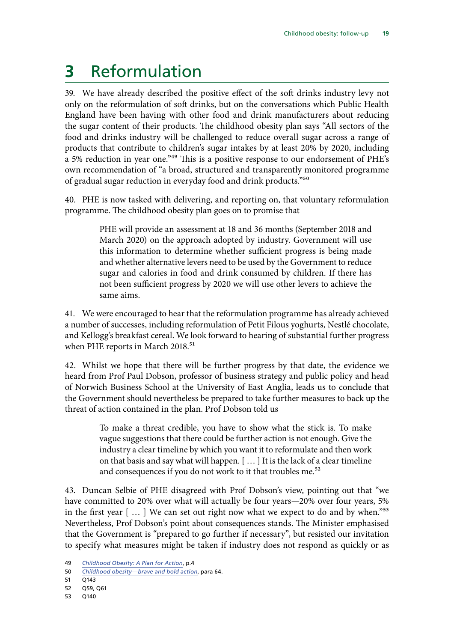## <span id="page-20-0"></span>**3** Reformulation

39. We have already described the positive effect of the soft drinks industry levy not only on the reformulation of soft drinks, but on the conversations which Public Health England have been having with other food and drink manufacturers about reducing the sugar content of their products. The childhood obesity plan says "All sectors of the food and drinks industry will be challenged to reduce overall sugar across a range of products that contribute to children's sugar intakes by at least 20% by 2020, including a 5% reduction in year one."49 This is a positive response to our endorsement of PHE's own recommendation of "a broad, structured and transparently monitored programme of gradual sugar reduction in everyday food and drink products."50

40. PHE is now tasked with delivering, and reporting on, that voluntary reformulation programme. The childhood obesity plan goes on to promise that

> PHE will provide an assessment at 18 and 36 months (September 2018 and March 2020) on the approach adopted by industry. Government will use this information to determine whether sufficient progress is being made and whether alternative levers need to be used by the Government to reduce sugar and calories in food and drink consumed by children. If there has not been sufficient progress by 2020 we will use other levers to achieve the same aims.

41. We were encouraged to hear that the reformulation programme has already achieved a number of successes, including reformulation of Petit Filous yoghurts, Nestlé chocolate, and Kellogg's breakfast cereal. We look forward to hearing of substantial further progress when PHE reports in March 2018.<sup>51</sup>

42. Whilst we hope that there will be further progress by that date, the evidence we heard from Prof Paul Dobson, professor of business strategy and public policy and head of Norwich Business School at the University of East Anglia, leads us to conclude that the Government should nevertheless be prepared to take further measures to back up the threat of action contained in the plan. Prof Dobson told us

> To make a threat credible, you have to show what the stick is. To make vague suggestions that there could be further action is not enough. Give the industry a clear timeline by which you want it to reformulate and then work on that basis and say what will happen. [ … ] It is the lack of a clear timeline and consequences if you do not work to it that troubles me.<sup>52</sup>

43. Duncan Selbie of PHE disagreed with Prof Dobson's view, pointing out that "we have committed to 20% over what will actually be four years—20% over four years, 5% in the first year [ … ] We can set out right now what we expect to do and by when."53 Nevertheless, Prof Dobson's point about consequences stands. The Minister emphasised that the Government is "prepared to go further if necessary", but resisted our invitation to specify what measures might be taken if industry does not respond as quickly or as

<sup>49</sup> *[Childhood Obesity: A Plan for Action](https://www.gov.uk/government/uploads/system/uploads/attachment_data/file/546588/Childhood_obesity_2016__2__acc.pdf)*, p.4

<sup>50</sup> *[Childhood obesity—brave and bold action](https://www.publications.parliament.uk/pa/cm201516/cmselect/cmhealth/465/465.pdf)*, para 64.

<sup>51</sup> Q143

<sup>52</sup> Q59, Q61

<sup>53</sup> Q140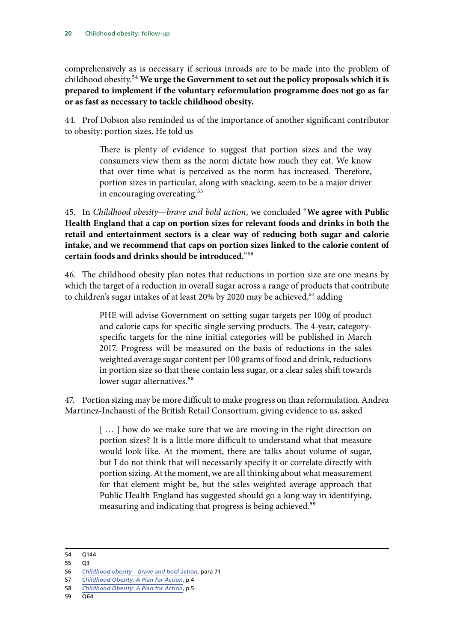comprehensively as is necessary if serious inroads are to be made into the problem of childhood obesity.54 **We urge the Government to set out the policy proposals which it is prepared to implement if the voluntary reformulation programme does not go as far or as fast as necessary to tackle childhood obesity.**

44. Prof Dobson also reminded us of the importance of another significant contributor to obesity: portion sizes. He told us

> There is plenty of evidence to suggest that portion sizes and the way consumers view them as the norm dictate how much they eat. We know that over time what is perceived as the norm has increased. Therefore, portion sizes in particular, along with snacking, seem to be a major driver in encouraging overeating.<sup>55</sup>

45. In *Childhood obesity—brave and bold action*, we concluded "**We agree with Public Health England that a cap on portion sizes for relevant foods and drinks in both the retail and entertainment sectors is a clear way of reducing both sugar and calorie intake, and we recommend that caps on portion sizes linked to the calorie content of certain foods and drinks should be introduced.**"56

46. The childhood obesity plan notes that reductions in portion size are one means by which the target of a reduction in overall sugar across a range of products that contribute to children's sugar intakes of at least 20% by 2020 may be achieved,<sup>57</sup> adding

> PHE will advise Government on setting sugar targets per 100g of product and calorie caps for specific single serving products. The 4-year, categoryspecific targets for the nine initial categories will be published in March 2017. Progress will be measured on the basis of reductions in the sales weighted average sugar content per 100 grams of food and drink, reductions in portion size so that these contain less sugar, or a clear sales shift towards lower sugar alternatives.<sup>58</sup>

47. Portion sizing may be more difficult to make progress on than reformulation. Andrea Martinez-Inchausti of the British Retail Consortium, giving evidence to us, asked

> [...] how do we make sure that we are moving in the right direction on portion sizes? It is a little more difficult to understand what that measure would look like. At the moment, there are talks about volume of sugar, but I do not think that will necessarily specify it or correlate directly with portion sizing. At the moment, we are all thinking about what measurement for that element might be, but the sales weighted average approach that Public Health England has suggested should go a long way in identifying, measuring and indicating that progress is being achieved.<sup>59</sup>

55 Q3

<sup>54</sup> Q144

<sup>56</sup> *[Childhood obesity—brave and bold action](https://www.publications.parliament.uk/pa/cm201516/cmselect/cmhealth/465/465.pdf)*, para 71

<sup>57</sup> *[Childhood Obesity: A Plan for Action](https://www.gov.uk/government/uploads/system/uploads/attachment_data/file/546588/Childhood_obesity_2016__2__acc.pdf)*, p 4

<sup>58</sup> *[Childhood Obesity: A Plan for Action](https://www.gov.uk/government/uploads/system/uploads/attachment_data/file/546588/Childhood_obesity_2016__2__acc.pdf)*, p 5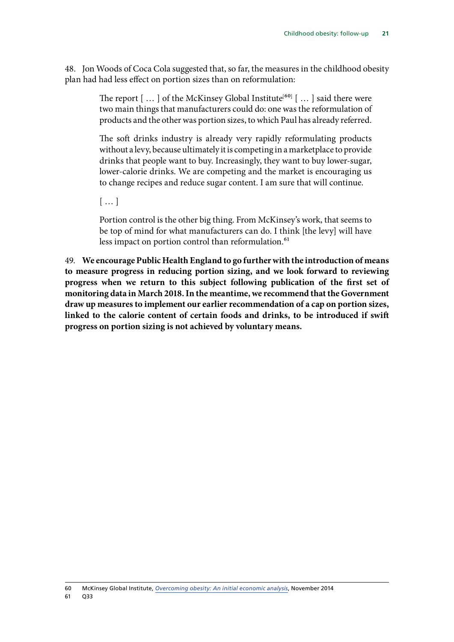48. Jon Woods of Coca Cola suggested that, so far, the measures in the childhood obesity plan had had less effect on portion sizes than on reformulation:

> The report  $[...]$  of the McKinsey Global Institute<sup>[60]</sup>  $[...]$  said there were two main things that manufacturers could do: one was the reformulation of products and the other was portion sizes, to which Paul has already referred.

> The soft drinks industry is already very rapidly reformulating products without a levy, because ultimately it is competing in a marketplace to provide drinks that people want to buy. Increasingly, they want to buy lower-sugar, lower-calorie drinks. We are competing and the market is encouraging us to change recipes and reduce sugar content. I am sure that will continue.

[ … ]

Portion control is the other big thing. From McKinsey's work, that seems to be top of mind for what manufacturers can do. I think [the levy] will have less impact on portion control than reformulation.<sup>61</sup>

49. **We encourage Public Health England to go further with the introduction of means to measure progress in reducing portion sizing, and we look forward to reviewing progress when we return to this subject following publication of the first set of monitoring data in March 2018. In the meantime, we recommend that the Government draw up measures to implement our earlier recommendation of a cap on portion sizes, linked to the calorie content of certain foods and drinks, to be introduced if swift progress on portion sizing is not achieved by voluntary means.**

<sup>60</sup> McKinsey Global Institute, *[Overcoming obesity: An initial economic analysis](http://www.mckinsey.com/industries/healthcare-systems-and-services/our-insights/how-the-world-could-better-fight-obesity)*, November 2014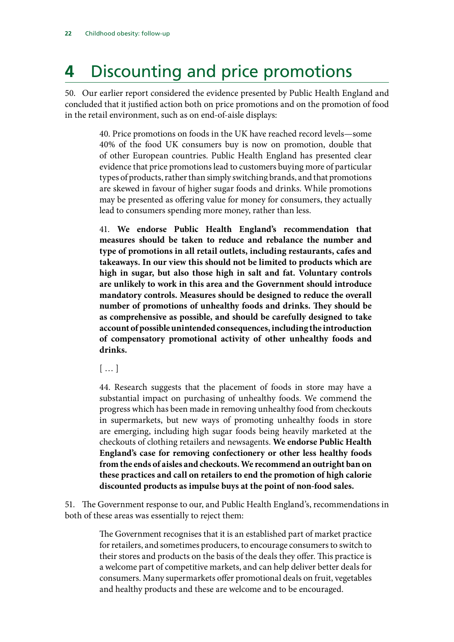## <span id="page-23-0"></span>**4** Discounting and price promotions

50. Our earlier report considered the evidence presented by Public Health England and concluded that it justified action both on price promotions and on the promotion of food in the retail environment, such as on end-of-aisle displays:

> 40. Price promotions on foods in the UK have reached record levels—some 40% of the food UK consumers buy is now on promotion, double that of other European countries. Public Health England has presented clear evidence that price promotions lead to customers buying more of particular types of products, rather than simply switching brands, and that promotions are skewed in favour of higher sugar foods and drinks. While promotions may be presented as offering value for money for consumers, they actually lead to consumers spending more money, rather than less.

> 41. **We endorse Public Health England's recommendation that measures should be taken to reduce and rebalance the number and type of promotions in all retail outlets, including restaurants, cafes and takeaways. In our view this should not be limited to products which are high in sugar, but also those high in salt and fat. Voluntary controls are unlikely to work in this area and the Government should introduce mandatory controls. Measures should be designed to reduce the overall number of promotions of unhealthy foods and drinks. They should be as comprehensive as possible, and should be carefully designed to take account of possible unintended consequences, including the introduction of compensatory promotional activity of other unhealthy foods and drinks.**

[ … ]

44. Research suggests that the placement of foods in store may have a substantial impact on purchasing of unhealthy foods. We commend the progress which has been made in removing unhealthy food from checkouts in supermarkets, but new ways of promoting unhealthy foods in store are emerging, including high sugar foods being heavily marketed at the checkouts of clothing retailers and newsagents. **We endorse Public Health England's case for removing confectionery or other less healthy foods from the ends of aisles and checkouts. We recommend an outright ban on these practices and call on retailers to end the promotion of high calorie discounted products as impulse buys at the point of non-food sales.**

51. The Government response to our, and Public Health England's, recommendations in both of these areas was essentially to reject them:

> The Government recognises that it is an established part of market practice for retailers, and sometimes producers, to encourage consumers to switch to their stores and products on the basis of the deals they offer. This practice is a welcome part of competitive markets, and can help deliver better deals for consumers. Many supermarkets offer promotional deals on fruit, vegetables and healthy products and these are welcome and to be encouraged.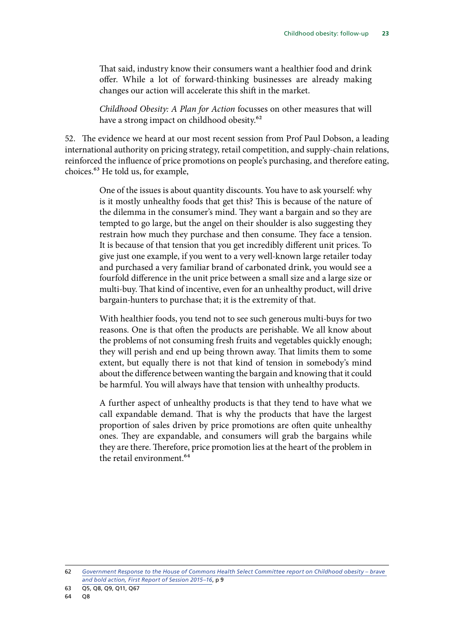That said, industry know their consumers want a healthier food and drink offer. While a lot of forward-thinking businesses are already making changes our action will accelerate this shift in the market.

*Childhood Obesity: A Plan for Action* focusses on other measures that will have a strong impact on childhood obesity.<sup>62</sup>

52. The evidence we heard at our most recent session from Prof Paul Dobson, a leading international authority on pricing strategy, retail competition, and supply-chain relations, reinforced the influence of price promotions on people's purchasing, and therefore eating, choices.63 He told us, for example,

> One of the issues is about quantity discounts. You have to ask yourself: why is it mostly unhealthy foods that get this? This is because of the nature of the dilemma in the consumer's mind. They want a bargain and so they are tempted to go large, but the angel on their shoulder is also suggesting they restrain how much they purchase and then consume. They face a tension. It is because of that tension that you get incredibly different unit prices. To give just one example, if you went to a very well-known large retailer today and purchased a very familiar brand of carbonated drink, you would see a fourfold difference in the unit price between a small size and a large size or multi-buy. That kind of incentive, even for an unhealthy product, will drive bargain-hunters to purchase that; it is the extremity of that.

> With healthier foods, you tend not to see such generous multi-buys for two reasons. One is that often the products are perishable. We all know about the problems of not consuming fresh fruits and vegetables quickly enough; they will perish and end up being thrown away. That limits them to some extent, but equally there is not that kind of tension in somebody's mind about the difference between wanting the bargain and knowing that it could be harmful. You will always have that tension with unhealthy products.

> A further aspect of unhealthy products is that they tend to have what we call expandable demand. That is why the products that have the largest proportion of sales driven by price promotions are often quite unhealthy ones. They are expandable, and consumers will grab the bargains while they are there. Therefore, price promotion lies at the heart of the problem in the retail environment.<sup>64</sup>

<sup>62</sup> *[Government Response to the House of Commons Health Select Committee report on Childhood obesity – brave](https://www.gov.uk/government/uploads/system/uploads/attachment_data/file/552056/HSC_response_9_9_16.pdf)  [and bold action, First Report of Session 2015–16](https://www.gov.uk/government/uploads/system/uploads/attachment_data/file/552056/HSC_response_9_9_16.pdf)*, p 9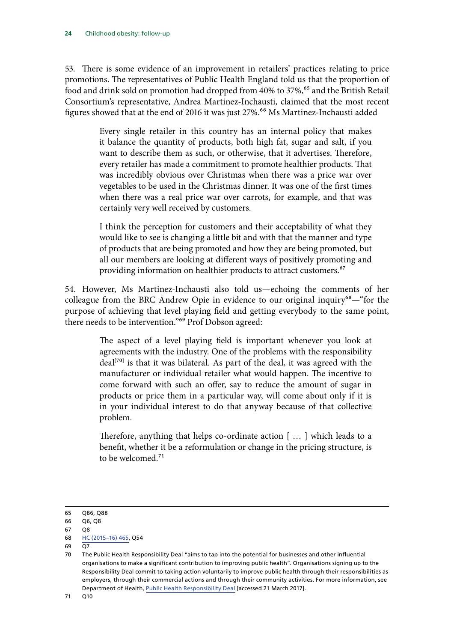53. There is some evidence of an improvement in retailers' practices relating to price promotions. The representatives of Public Health England told us that the proportion of food and drink sold on promotion had dropped from 40% to 37%,<sup>65</sup> and the British Retail Consortium's representative, Andrea Martinez-Inchausti, claimed that the most recent figures showed that at the end of 2016 it was just 27%.<sup>66</sup> Ms Martinez-Inchausti added

> Every single retailer in this country has an internal policy that makes it balance the quantity of products, both high fat, sugar and salt, if you want to describe them as such, or otherwise, that it advertises. Therefore, every retailer has made a commitment to promote healthier products. That was incredibly obvious over Christmas when there was a price war over vegetables to be used in the Christmas dinner. It was one of the first times when there was a real price war over carrots, for example, and that was certainly very well received by customers.

> I think the perception for customers and their acceptability of what they would like to see is changing a little bit and with that the manner and type of products that are being promoted and how they are being promoted, but all our members are looking at different ways of positively promoting and providing information on healthier products to attract customers.<sup>67</sup>

54. However, Ms Martinez-Inchausti also told us—echoing the comments of her colleague from the BRC Andrew Opie in evidence to our original inquiry<sup>68</sup>—"for the purpose of achieving that level playing field and getting everybody to the same point, there needs to be intervention."69 Prof Dobson agreed:

> The aspect of a level playing field is important whenever you look at agreements with the industry. One of the problems with the responsibility deal<sup>[70]</sup> is that it was bilateral. As part of the deal, it was agreed with the manufacturer or individual retailer what would happen. The incentive to come forward with such an offer, say to reduce the amount of sugar in products or price them in a particular way, will come about only if it is in your individual interest to do that anyway because of that collective problem.

> Therefore, anything that helps co-ordinate action [ … ] which leads to a benefit, whether it be a reformulation or change in the pricing structure, is to be welcomed.<sup>71</sup>

<sup>65</sup> Q86, Q88

<sup>66</sup> Q6, Q8

<sup>67</sup> Q8

<sup>68</sup> [HC \(2015–16\) 465,](http://data.parliament.uk/writtenevidence/committeeevidence.svc/evidencedocument/health-committee/childhood-obesity-strategy/oral/23058.html) Q54

 $69 \overline{O7}$ 

<sup>70</sup> The Public Health Responsibility Deal "aims to tap into the potential for businesses and other influential organisations to make a significant contribution to improving public health". Organisations signing up to the Responsibility Deal commit to taking action voluntarily to improve public health through their responsibilities as employers, through their commercial actions and through their community activities. For more information, see Department of Health, [Public Health Responsibility Deal](https://responsibilitydeal.dh.gov.uk/) [accessed 21 March 2017].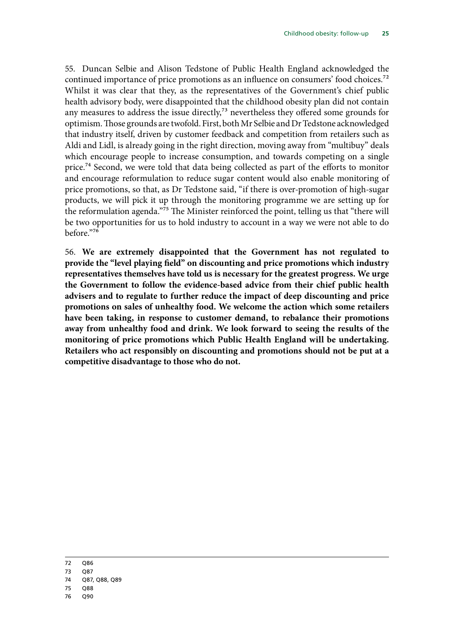55. Duncan Selbie and Alison Tedstone of Public Health England acknowledged the continued importance of price promotions as an influence on consumers' food choices.<sup>72</sup> Whilst it was clear that they, as the representatives of the Government's chief public health advisory body, were disappointed that the childhood obesity plan did not contain any measures to address the issue directly, $7<sup>3</sup>$  nevertheless they offered some grounds for optimism. Those grounds are twofold. First, both Mr Selbie and Dr Tedstone acknowledged that industry itself, driven by customer feedback and competition from retailers such as Aldi and Lidl, is already going in the right direction, moving away from "multibuy" deals which encourage people to increase consumption, and towards competing on a single price.74 Second, we were told that data being collected as part of the efforts to monitor and encourage reformulation to reduce sugar content would also enable monitoring of price promotions, so that, as Dr Tedstone said, "if there is over-promotion of high-sugar products, we will pick it up through the monitoring programme we are setting up for the reformulation agenda."75 The Minister reinforced the point, telling us that "there will be two opportunities for us to hold industry to account in a way we were not able to do before."76

56. **We are extremely disappointed that the Government has not regulated to provide the "level playing field" on discounting and price promotions which industry representatives themselves have told us is necessary for the greatest progress. We urge the Government to follow the evidence-based advice from their chief public health advisers and to regulate to further reduce the impact of deep discounting and price promotions on sales of unhealthy food. We welcome the action which some retailers have been taking, in response to customer demand, to rebalance their promotions away from unhealthy food and drink. We look forward to seeing the results of the monitoring of price promotions which Public Health England will be undertaking. Retailers who act responsibly on discounting and promotions should not be put at a competitive disadvantage to those who do not.**

- 72 Q86
- 73 Q87
- 74 Q87, Q88, Q89
- 75 Q88
- 76 Q90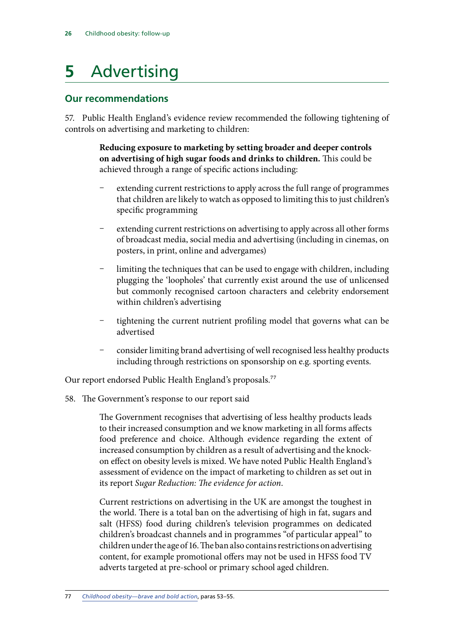## <span id="page-27-0"></span>**5** Advertising

### **Our recommendations**

57. Public Health England's evidence review recommended the following tightening of controls on advertising and marketing to children:

> <span id="page-27-1"></span>**Reducing exposure to marketing by setting broader and deeper controls on advertising of high sugar foods and drinks to children.** This could be achieved through a range of specific actions including:

- extending current restrictions to apply across the full range of programmes that children are likely to watch as opposed to limiting this to just children's specific programming
- extending current restrictions on advertising to apply across all other forms of broadcast media, social media and advertising (including in cinemas, on posters, in print, online and advergames)
- limiting the techniques that can be used to engage with children, including plugging the 'loopholes' that currently exist around the use of unlicensed but commonly recognised cartoon characters and celebrity endorsement within children's advertising
- tightening the current nutrient profiling model that governs what can be advertised
- consider limiting brand advertising of well recognised less healthy products including through restrictions on sponsorship on e.g. sporting events.

Our report endorsed Public Health England's proposals.<sup>77</sup>

58. The Government's response to our report said

The Government recognises that advertising of less healthy products leads to their increased consumption and we know marketing in all forms affects food preference and choice. Although evidence regarding the extent of increased consumption by children as a result of advertising and the knockon effect on obesity levels is mixed. We have noted Public Health England's assessment of evidence on the impact of marketing to children as set out in its report *Sugar Reduction: The evidence for action*.

Current restrictions on advertising in the UK are amongst the toughest in the world. There is a total ban on the advertising of high in fat, sugars and salt (HFSS) food during children's television programmes on dedicated children's broadcast channels and in programmes "of particular appeal" to children under the age of 16. The ban also contains restrictions on advertising content, for example promotional offers may not be used in HFSS food TV adverts targeted at pre-school or primary school aged children.

<sup>77</sup> *[Childhood obesity—brave and bold action](https://www.publications.parliament.uk/pa/cm201516/cmselect/cmhealth/465/465.pdf)*, paras 53–55.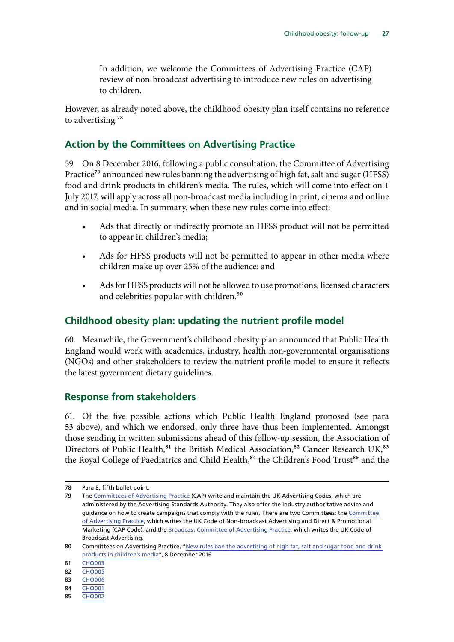<span id="page-28-0"></span>In addition, we welcome the Committees of Advertising Practice (CAP) review of non-broadcast advertising to introduce new rules on advertising to children.

However, as already noted above, the childhood obesity plan itself contains no reference to advertising. $78$ 

#### **Action by the Committees on Advertising Practice**

59. On 8 December 2016, following a public consultation, the Committee of Advertising Practice<sup>79</sup> announced new rules banning the advertising of high fat, salt and sugar (HFSS) food and drink products in children's media. The rules, which will come into effect on 1 July 2017, will apply across all non-broadcast media including in print, cinema and online and in social media. In summary, when these new rules come into effect:

- Ads that directly or indirectly promote an HFSS product will not be permitted to appear in children's media;
- Ads for HFSS products will not be permitted to appear in other media where children make up over 25% of the audience; and
- Ads for HFSS products will not be allowed to use promotions, licensed characters and celebrities popular with children.<sup>80</sup>

### **Childhood obesity plan: updating the nutrient profile model**

60. Meanwhile, the Government's childhood obesity plan announced that Public Health England would work with academics, industry, health non-governmental organisations (NGOs) and other stakeholders to review the nutrient profile model to ensure it reflects the latest government dietary guidelines.

### **Response from stakeholders**

61. Of the five possible actions which Public Health England proposed (see para [53](#page-27-1) above), and which we endorsed, only three have thus been implemented. Amongst those sending in written submissions ahead of this follow-up session, the Association of Directors of Public Health,<sup>81</sup> the British Medical Association,<sup>82</sup> Cancer Research UK,<sup>83</sup> the Royal College of Paediatrics and Child Health,<sup>84</sup> the Children's Food Trust<sup>85</sup> and the

<sup>78</sup> Para [8,](#page-10-0) fifth bullet point.

<sup>79</sup> The [Committees of Advertising Practice](https://www.cap.org.uk/About-CAP.aspx) (CAP) write and maintain the UK Advertising Codes, which are administered by the Advertising Standards Authority. They also offer the industry authoritative advice and guidance on how to create campaigns that comply with the rules. There are two Committees: the Committee of Advertising Practice, which writes the UK Code of Non-broadcast Advertising and Direct & Promotional Marketing (CAP Code), and the Broadcast Committee of Advertising Practice, which writes the UK Code of Broadcast Advertising.

<sup>80</sup> Committees on Advertising Practice, "New rules ban the advertising of high fat, salt and sugar food and drink [products in children's media](https://www.asa.org.uk/news/new-rules-ban-the-advertising-of-high-fat-salt-and-sugar-food-and-drink-products-in-childrens-media.html)", 8 December 2016

<sup>81</sup> **[CHO003](http://data.parliament.uk/writtenevidence/committeeevidence.svc/evidencedocument/health-committee/childhood-obesity-followup/written/45511.html)** 

<sup>82</sup> [CHO005](http://data.parliament.uk/writtenevidence/committeeevidence.svc/evidencedocument/health-committee/childhood-obesity-followup/written/45800.html)

<sup>83</sup> **[CHO006](http://data.parliament.uk/writtenevidence/committeeevidence.svc/evidencedocument/health-committee/childhood-obesity-followup/written/45910.html)** 

<sup>84</sup> [CHO001](http://data.parliament.uk/writtenevidence/committeeevidence.svc/evidencedocument/health-committee/childhood-obesity-followup/written/45448.pdf)

<sup>85</sup> [CHO002](http://data.parliament.uk/writtenevidence/committeeevidence.svc/evidencedocument/health-committee/childhood-obesity-followup/written/45463.html)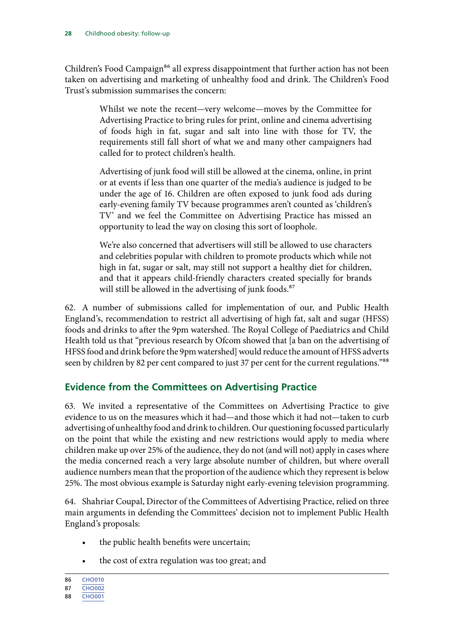<span id="page-29-0"></span>Children's Food Campaign<sup>86</sup> all express disappointment that further action has not been taken on advertising and marketing of unhealthy food and drink. The Children's Food Trust's submission summarises the concern:

> Whilst we note the recent—very welcome—moves by the Committee for Advertising Practice to bring rules for print, online and cinema advertising of foods high in fat, sugar and salt into line with those for TV, the requirements still fall short of what we and many other campaigners had called for to protect children's health.

> Advertising of junk food will still be allowed at the cinema, online, in print or at events if less than one quarter of the media's audience is judged to be under the age of 16. Children are often exposed to junk food ads during early-evening family TV because programmes aren't counted as 'children's TV' and we feel the Committee on Advertising Practice has missed an opportunity to lead the way on closing this sort of loophole.

> We're also concerned that advertisers will still be allowed to use characters and celebrities popular with children to promote products which while not high in fat, sugar or salt, may still not support a healthy diet for children, and that it appears child-friendly characters created specially for brands will still be allowed in the advertising of junk foods.<sup>87</sup>

62. A number of submissions called for implementation of our, and Public Health England's, recommendation to restrict all advertising of high fat, salt and sugar (HFSS) foods and drinks to after the 9pm watershed. The Royal College of Paediatrics and Child Health told us that "previous research by Ofcom showed that [a ban on the advertising of HFSS food and drink before the 9pm watershed] would reduce the amount of HFSS adverts seen by children by 82 per cent compared to just 37 per cent for the current regulations."<sup>88</sup>

### **Evidence from the Committees on Advertising Practice**

63. We invited a representative of the Committees on Advertising Practice to give evidence to us on the measures which it had—and those which it had not—taken to curb advertising of unhealthy food and drink to children. Our questioning focussed particularly on the point that while the existing and new restrictions would apply to media where children make up over 25% of the audience, they do not (and will not) apply in cases where the media concerned reach a very large absolute number of children, but where overall audience numbers mean that the proportion of the audience which they represent is below 25%. The most obvious example is Saturday night early-evening television programming.

64. Shahriar Coupal, Director of the Committees of Advertising Practice, relied on three main arguments in defending the Committees' decision not to implement Public Health England's proposals:

- the public health benefits were uncertain;
- the cost of extra regulation was too great; and

<sup>86</sup> [CHO010](http://data.parliament.uk/writtenevidence/committeeevidence.svc/evidencedocument/health-committee/childhood-obesity-followup/written/46287.html)

<sup>87</sup> [CHO002](http://data.parliament.uk/writtenevidence/committeeevidence.svc/evidencedocument/health-committee/childhood-obesity-followup/written/45463.html)

<sup>88</sup> [CHO001](http://data.parliament.uk/writtenevidence/committeeevidence.svc/evidencedocument/health-committee/childhood-obesity-followup/written/45448.pdf)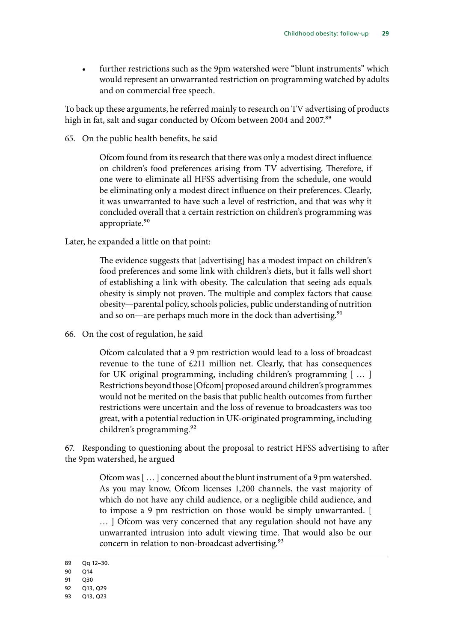• further restrictions such as the 9pm watershed were "blunt instruments" which would represent an unwarranted restriction on programming watched by adults and on commercial free speech.

To back up these arguments, he referred mainly to research on TV advertising of products high in fat, salt and sugar conducted by Ofcom between 2004 and 2007.<sup>89</sup>

65. On the public health benefits, he said

Ofcom found from its research that there was only a modest direct influence on children's food preferences arising from TV advertising. Therefore, if one were to eliminate all HFSS advertising from the schedule, one would be eliminating only a modest direct influence on their preferences. Clearly, it was unwarranted to have such a level of restriction, and that was why it concluded overall that a certain restriction on children's programming was appropriate.<sup>90</sup>

Later, he expanded a little on that point:

The evidence suggests that [advertising] has a modest impact on children's food preferences and some link with children's diets, but it falls well short of establishing a link with obesity. The calculation that seeing ads equals obesity is simply not proven. The multiple and complex factors that cause obesity—parental policy, schools policies, public understanding of nutrition and so on—are perhaps much more in the dock than advertising.<sup>91</sup>

66. On the cost of regulation, he said

Ofcom calculated that a 9 pm restriction would lead to a loss of broadcast revenue to the tune of £211 million net. Clearly, that has consequences for UK original programming, including children's programming [ … ] Restrictions beyond those [Ofcom] proposed around children's programmes would not be merited on the basis that public health outcomes from further restrictions were uncertain and the loss of revenue to broadcasters was too great, with a potential reduction in UK-originated programming, including children's programming.<sup>92</sup>

67. Responding to questioning about the proposal to restrict HFSS advertising to after the 9pm watershed, he argued

> Ofcom was [ … ] concerned about the blunt instrument of a 9 pm watershed. As you may know, Ofcom licenses 1,200 channels, the vast majority of which do not have any child audience, or a negligible child audience, and to impose a 9 pm restriction on those would be simply unwarranted. [ ... ] Ofcom was very concerned that any regulation should not have any unwarranted intrusion into adult viewing time. That would also be our concern in relation to non-broadcast advertising.<sup>93</sup>

<sup>89</sup> Qq 12–30.

<sup>90</sup> Q14

<sup>91</sup> Q30

<sup>92</sup> Q13, Q29

<sup>93</sup> Q13, Q23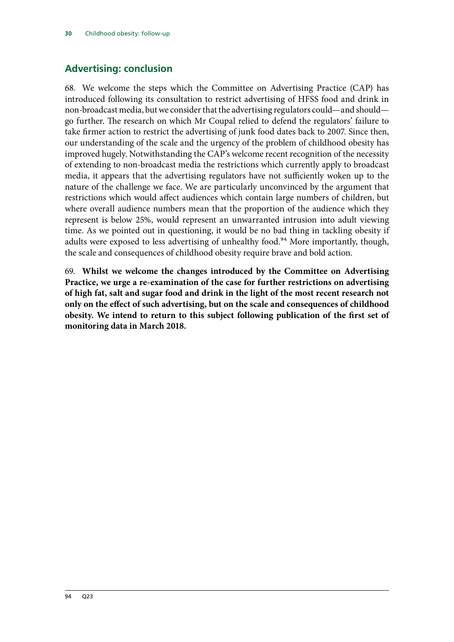### <span id="page-31-0"></span>**Advertising: conclusion**

68. We welcome the steps which the Committee on Advertising Practice (CAP) has introduced following its consultation to restrict advertising of HFSS food and drink in non-broadcast media, but we consider that the advertising regulators could—and should go further. The research on which Mr Coupal relied to defend the regulators' failure to take firmer action to restrict the advertising of junk food dates back to 2007. Since then, our understanding of the scale and the urgency of the problem of childhood obesity has improved hugely. Notwithstanding the CAP's welcome recent recognition of the necessity of extending to non-broadcast media the restrictions which currently apply to broadcast media, it appears that the advertising regulators have not sufficiently woken up to the nature of the challenge we face. We are particularly unconvinced by the argument that restrictions which would affect audiences which contain large numbers of children, but where overall audience numbers mean that the proportion of the audience which they represent is below 25%, would represent an unwarranted intrusion into adult viewing time. As we pointed out in questioning, it would be no bad thing in tackling obesity if adults were exposed to less advertising of unhealthy food.<sup>94</sup> More importantly, though, the scale and consequences of childhood obesity require brave and bold action.

69. **Whilst we welcome the changes introduced by the Committee on Advertising Practice, we urge a re-examination of the case for further restrictions on advertising of high fat, salt and sugar food and drink in the light of the most recent research not only on the effect of such advertising, but on the scale and consequences of childhood obesity. We intend to return to this subject following publication of the first set of monitoring data in March 2018.**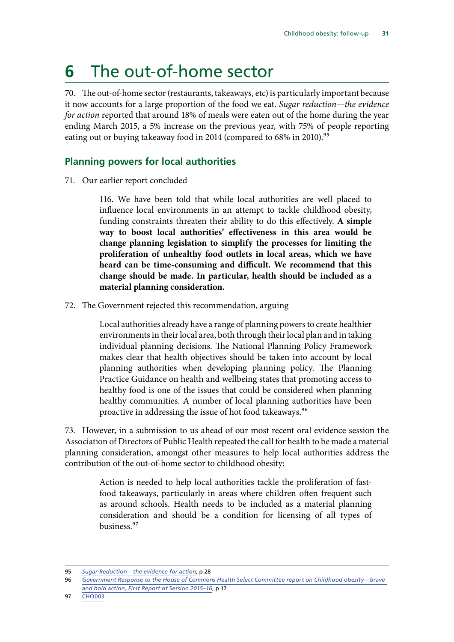## <span id="page-32-0"></span>**6** The out-of-home sector

70. The out-of-home sector (restaurants, takeaways, etc) is particularly important because it now accounts for a large proportion of the food we eat. *Sugar reduction—the evidence for action* reported that around 18% of meals were eaten out of the home during the year ending March 2015, a 5% increase on the previous year, with 75% of people reporting eating out or buying takeaway food in 2014 (compared to 68% in 2010).<sup>95</sup>

### **Planning powers for local authorities**

71. Our earlier report concluded

116. We have been told that while local authorities are well placed to influence local environments in an attempt to tackle childhood obesity, funding constraints threaten their ability to do this effectively. **A simple way to boost local authorities' effectiveness in this area would be change planning legislation to simplify the processes for limiting the proliferation of unhealthy food outlets in local areas, which we have heard can be time-consuming and difficult. We recommend that this change should be made. In particular, health should be included as a material planning consideration.**

72. The Government rejected this recommendation, arguing

Local authorities already have a range of planning powers to create healthier environments in their local area, both through their local plan and in taking individual planning decisions. The National Planning Policy Framework makes clear that health objectives should be taken into account by local planning authorities when developing planning policy. The Planning Practice Guidance on health and wellbeing states that promoting access to healthy food is one of the issues that could be considered when planning healthy communities. A number of local planning authorities have been proactive in addressing the issue of hot food takeaways.96

73. However, in a submission to us ahead of our most recent oral evidence session the Association of Directors of Public Health repeated the call for health to be made a material planning consideration, amongst other measures to help local authorities address the contribution of the out-of-home sector to childhood obesity:

> Action is needed to help local authorities tackle the proliferation of fastfood takeaways, particularly in areas where children often frequent such as around schools. Health needs to be included as a material planning consideration and should be a condition for licensing of all types of business.97

<sup>95</sup> *[Sugar Reduction – the evidence for action](https://www.gov.uk/government/uploads/system/uploads/attachment_data/file/470179/Sugar_reduction_The_evidence_for_action.pdf)*, p 28

<sup>96</sup> *[Government Response to the House of Commons Health Select Committee report on Childhood obesity – brave](https://www.gov.uk/government/uploads/system/uploads/attachment_data/file/552056/HSC_response_9_9_16.pdf)  [and bold action, First Report of Session 2015–16](https://www.gov.uk/government/uploads/system/uploads/attachment_data/file/552056/HSC_response_9_9_16.pdf)*, p 17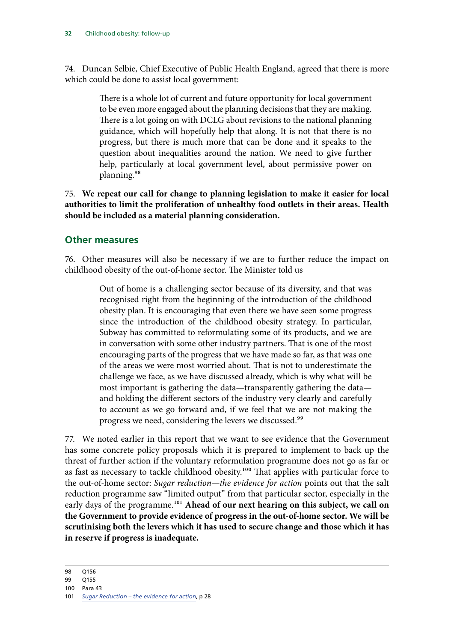<span id="page-33-0"></span>74. Duncan Selbie, Chief Executive of Public Health England, agreed that there is more which could be done to assist local government:

> There is a whole lot of current and future opportunity for local government to be even more engaged about the planning decisions that they are making. There is a lot going on with DCLG about revisions to the national planning guidance, which will hopefully help that along. It is not that there is no progress, but there is much more that can be done and it speaks to the question about inequalities around the nation. We need to give further help, particularly at local government level, about permissive power on planning.98

75. **We repeat our call for change to planning legislation to make it easier for local authorities to limit the proliferation of unhealthy food outlets in their areas. Health should be included as a material planning consideration.**

#### **Other measures**

76. Other measures will also be necessary if we are to further reduce the impact on childhood obesity of the out-of-home sector. The Minister told us

> Out of home is a challenging sector because of its diversity, and that was recognised right from the beginning of the introduction of the childhood obesity plan. It is encouraging that even there we have seen some progress since the introduction of the childhood obesity strategy. In particular, Subway has committed to reformulating some of its products, and we are in conversation with some other industry partners. That is one of the most encouraging parts of the progress that we have made so far, as that was one of the areas we were most worried about. That is not to underestimate the challenge we face, as we have discussed already, which is why what will be most important is gathering the data—transparently gathering the data and holding the different sectors of the industry very clearly and carefully to account as we go forward and, if we feel that we are not making the progress we need, considering the levers we discussed.99

77. We noted earlier in this report that we want to see evidence that the Government has some concrete policy proposals which it is prepared to implement to back up the threat of further action if the voluntary reformulation programme does not go as far or as fast as necessary to tackle childhood obesity.<sup>100</sup> That applies with particular force to the out-of-home sector: *Sugar reduction—the evidence for action* points out that the salt reduction programme saw "limited output" from that particular sector, especially in the early days of the programme.<sup>101</sup> Ahead of our next hearing on this subject, we call on **the Government to provide evidence of progress in the out-of-home sector. We will be scrutinising both the levers which it has used to secure change and those which it has in reserve if progress is inadequate.**

<sup>98</sup> Q156

<sup>99</sup> Q155

<sup>100</sup> Para 43

<sup>101</sup> *[Sugar Reduction – the evidence for action](https://www.gov.uk/government/uploads/system/uploads/attachment_data/file/470179/Sugar_reduction_The_evidence_for_action.pdf)*, p 28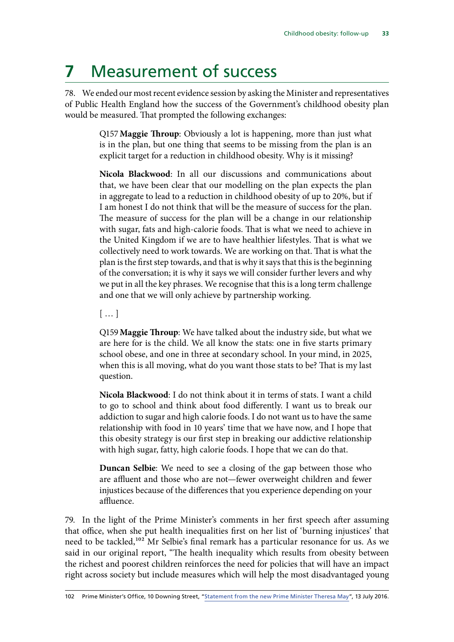## <span id="page-34-0"></span>**7** Measurement of success

78. We ended our most recent evidence session by asking the Minister and representatives of Public Health England how the success of the Government's childhood obesity plan would be measured. That prompted the following exchanges:

> Q157**Maggie Throup**: Obviously a lot is happening, more than just what is in the plan, but one thing that seems to be missing from the plan is an explicit target for a reduction in childhood obesity. Why is it missing?

> **Nicola Blackwood**: In all our discussions and communications about that, we have been clear that our modelling on the plan expects the plan in aggregate to lead to a reduction in childhood obesity of up to 20%, but if I am honest I do not think that will be the measure of success for the plan. The measure of success for the plan will be a change in our relationship with sugar, fats and high-calorie foods. That is what we need to achieve in the United Kingdom if we are to have healthier lifestyles. That is what we collectively need to work towards. We are working on that. That is what the plan is the first step towards, and that is why it says that this is the beginning of the conversation; it is why it says we will consider further levers and why we put in all the key phrases. We recognise that this is a long term challenge and one that we will only achieve by partnership working.

[ … ]

Q159**Maggie Throup**: We have talked about the industry side, but what we are here for is the child. We all know the stats: one in five starts primary school obese, and one in three at secondary school. In your mind, in 2025, when this is all moving, what do you want those stats to be? That is my last question.

**Nicola Blackwood**: I do not think about it in terms of stats. I want a child to go to school and think about food differently. I want us to break our addiction to sugar and high calorie foods. I do not want us to have the same relationship with food in 10 years' time that we have now, and I hope that this obesity strategy is our first step in breaking our addictive relationship with high sugar, fatty, high calorie foods. I hope that we can do that.

**Duncan Selbie**: We need to see a closing of the gap between those who are affluent and those who are not—fewer overweight children and fewer injustices because of the differences that you experience depending on your affluence.

79. In the light of the Prime Minister's comments in her first speech after assuming that office, when she put health inequalities first on her list of 'burning injustices' that need to be tackled,<sup>102</sup> Mr Selbie's final remark has a particular resonance for us. As we said in our original report, "The health inequality which results from obesity between the richest and poorest children reinforces the need for policies that will have an impact right across society but include measures which will help the most disadvantaged young

<sup>102</sup> Prime Minister's Office, 10 Downing Street, ["Statement from the new Prime Minister Theresa May"](https://www.gov.uk/government/speeches/statement-from-the-new-prime-minister-theresa-may), 13 July 2016.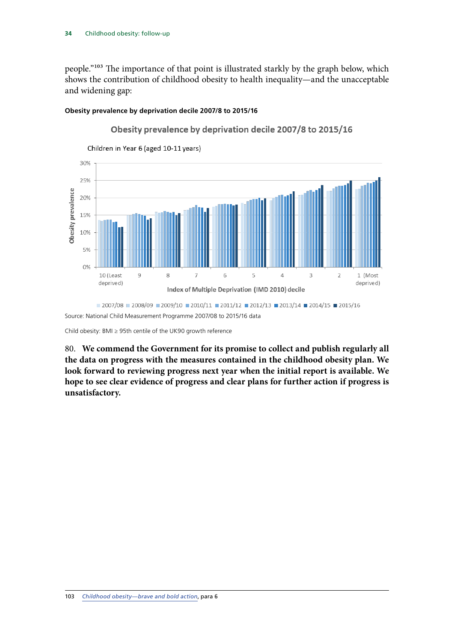people."103 The importance of that point is illustrated starkly by the graph below, which shows the contribution of childhood obesity to health inequality—and the unacceptable and widening gap:

#### **Obesity prevalence by deprivation decile 2007/8 to 2015/16**



Obesity prevalence by deprivation decile 2007/8 to 2015/16

Child obesity: BMI ≥ 95th centile of the UK90 growth reference

80. **We commend the Government for its promise to collect and publish regularly all the data on progress with the measures contained in the childhood obesity plan. We look forward to reviewing progress next year when the initial report is available. We hope to see clear evidence of progress and clear plans for further action if progress is unsatisfactory.**

Source: National Child Measurement Programme 2007/08 to 2015/16 data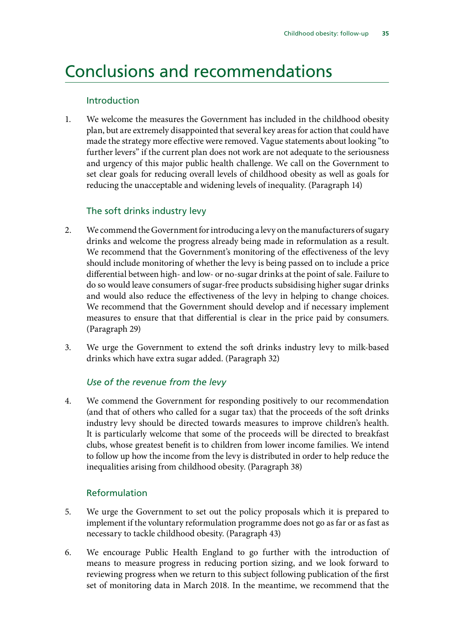### <span id="page-36-0"></span>Conclusions and recommendations

#### Introduction

1. We welcome the measures the Government has included in the childhood obesity plan, but are extremely disappointed that several key areas for action that could have made the strategy more effective were removed. Vague statements about looking "to further levers" if the current plan does not work are not adequate to the seriousness and urgency of this major public health challenge. We call on the Government to set clear goals for reducing overall levels of childhood obesity as well as goals for reducing the unacceptable and widening levels of inequality. (Paragraph 14)

### The soft drinks industry levy

- 2. We commend the Government for introducing a levy on the manufacturers of sugary drinks and welcome the progress already being made in reformulation as a result. We recommend that the Government's monitoring of the effectiveness of the levy should include monitoring of whether the levy is being passed on to include a price differential between high- and low- or no-sugar drinks at the point of sale. Failure to do so would leave consumers of sugar-free products subsidising higher sugar drinks and would also reduce the effectiveness of the levy in helping to change choices. We recommend that the Government should develop and if necessary implement measures to ensure that that differential is clear in the price paid by consumers. (Paragraph 29)
- 3. We urge the Government to extend the soft drinks industry levy to milk-based drinks which have extra sugar added. (Paragraph 32)

#### *Use of the revenue from the levy*

4. We commend the Government for responding positively to our recommendation (and that of others who called for a sugar tax) that the proceeds of the soft drinks industry levy should be directed towards measures to improve children's health. It is particularly welcome that some of the proceeds will be directed to breakfast clubs, whose greatest benefit is to children from lower income families. We intend to follow up how the income from the levy is distributed in order to help reduce the inequalities arising from childhood obesity. (Paragraph 38)

#### Reformulation

- 5. We urge the Government to set out the policy proposals which it is prepared to implement if the voluntary reformulation programme does not go as far or as fast as necessary to tackle childhood obesity. (Paragraph 43)
- 6. We encourage Public Health England to go further with the introduction of means to measure progress in reducing portion sizing, and we look forward to reviewing progress when we return to this subject following publication of the first set of monitoring data in March 2018. In the meantime, we recommend that the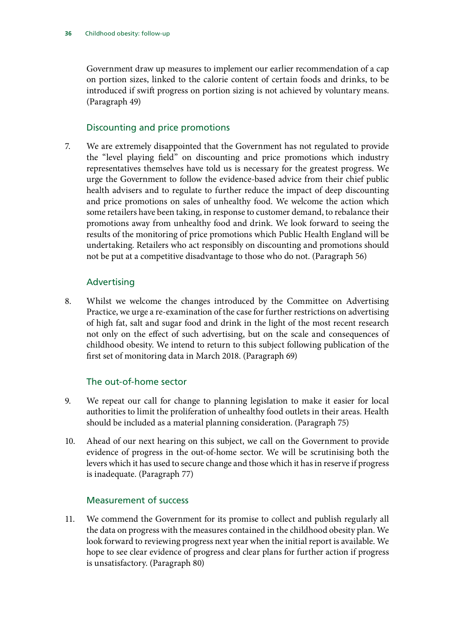Government draw up measures to implement our earlier recommendation of a cap on portion sizes, linked to the calorie content of certain foods and drinks, to be introduced if swift progress on portion sizing is not achieved by voluntary means. (Paragraph 49)

#### Discounting and price promotions

7. We are extremely disappointed that the Government has not regulated to provide the "level playing field" on discounting and price promotions which industry representatives themselves have told us is necessary for the greatest progress. We urge the Government to follow the evidence-based advice from their chief public health advisers and to regulate to further reduce the impact of deep discounting and price promotions on sales of unhealthy food. We welcome the action which some retailers have been taking, in response to customer demand, to rebalance their promotions away from unhealthy food and drink. We look forward to seeing the results of the monitoring of price promotions which Public Health England will be undertaking. Retailers who act responsibly on discounting and promotions should not be put at a competitive disadvantage to those who do not. (Paragraph 56)

#### Advertising

8. Whilst we welcome the changes introduced by the Committee on Advertising Practice, we urge a re-examination of the case for further restrictions on advertising of high fat, salt and sugar food and drink in the light of the most recent research not only on the effect of such advertising, but on the scale and consequences of childhood obesity. We intend to return to this subject following publication of the first set of monitoring data in March 2018. (Paragraph 69)

#### The out-of-home sector

- 9. We repeat our call for change to planning legislation to make it easier for local authorities to limit the proliferation of unhealthy food outlets in their areas. Health should be included as a material planning consideration. (Paragraph 75)
- 10. Ahead of our next hearing on this subject, we call on the Government to provide evidence of progress in the out-of-home sector. We will be scrutinising both the levers which it has used to secure change and those which it has in reserve if progress is inadequate. (Paragraph 77)

#### Measurement of success

11. We commend the Government for its promise to collect and publish regularly all the data on progress with the measures contained in the childhood obesity plan. We look forward to reviewing progress next year when the initial report is available. We hope to see clear evidence of progress and clear plans for further action if progress is unsatisfactory. (Paragraph 80)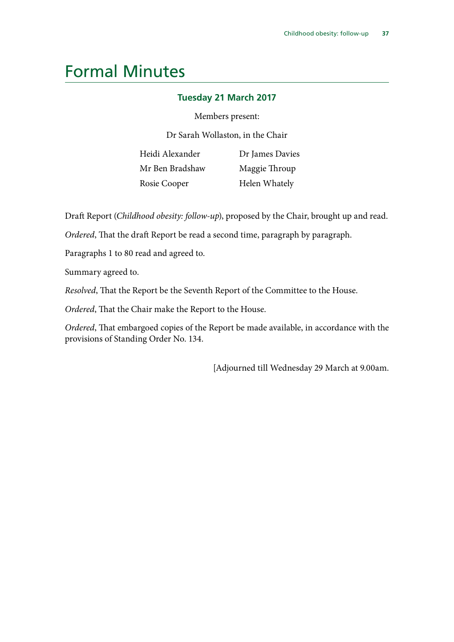### <span id="page-38-0"></span>Formal Minutes

#### **Tuesday 21 March 2017**

#### Members present:

Dr Sarah Wollaston, in the Chair

Heidi Alexander Mr Ben Bradshaw Rosie Cooper

Dr James Davies Maggie Throup Helen Whately

Draft Report (*Childhood obesity: follow-up*), proposed by the Chair, brought up and read.

*Ordered*, That the draft Report be read a second time, paragraph by paragraph.

Paragraphs 1 to 80 read and agreed to.

Summary agreed to.

*Resolved*, That the Report be the Seventh Report of the Committee to the House.

*Ordered*, That the Chair make the Report to the House.

*Ordered*, That embargoed copies of the Report be made available, in accordance with the provisions of Standing Order No. 134.

[Adjourned till Wednesday 29 March at 9.00am.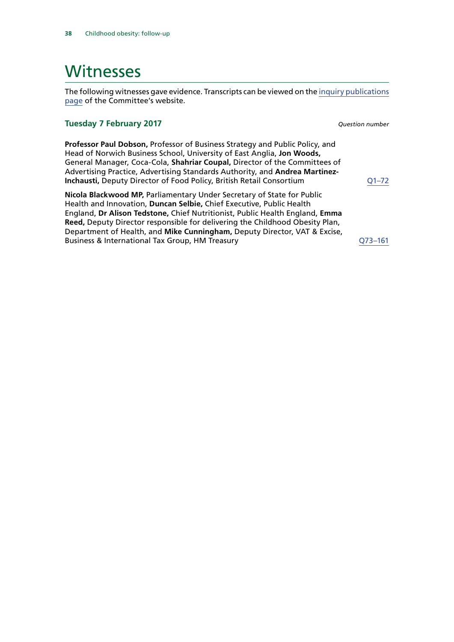### <span id="page-39-0"></span>**Witnesses**

The following witnesses gave evidence. Transcripts can be viewed on the [inquiry publications](http://www.parliament.uk/business/committees/committees-a-z/commons-select/health-committee/inquiries/parliament-2015/childhood-obesity-16-17/publications/) [page](http://www.parliament.uk/business/committees/committees-a-z/commons-select/health-committee/inquiries/parliament-2015/childhood-obesity-16-17/publications/) of the Committee's website.

#### **Tuesday 7 February 2017** *Question number*

**Professor Paul Dobson,** Professor of Business Strategy and Public Policy, and Head of Norwich Business School, University of East Anglia, **Jon Woods,**  General Manager, Coca-Cola, **Shahriar Coupal,** Director of the Committees of Advertising Practice, Advertising Standards Authority, and **Andrea Martinez-Inchausti, Deputy Director of Food Policy, British Retail Consortium**  $Q1-72$ 

**Nicola Blackwood MP,** Parliamentary Under Secretary of State for Public Health and Innovation, **Duncan Selbie,** Chief Executive, Public Health England, **Dr Alison Tedstone,** Chief Nutritionist, Public Health England, **Emma Reed,** Deputy Director responsible for delivering the Childhood Obesity Plan, Department of Health, and **Mike Cunningham,** Deputy Director, VAT & Excise, Business & International Tax Group, HM Treasury [Q73–161](http://data.parliament.uk/writtenevidence/committeeevidence.svc/evidencedocument/health-committee/childhood-obesity-followup/oral/46883.html)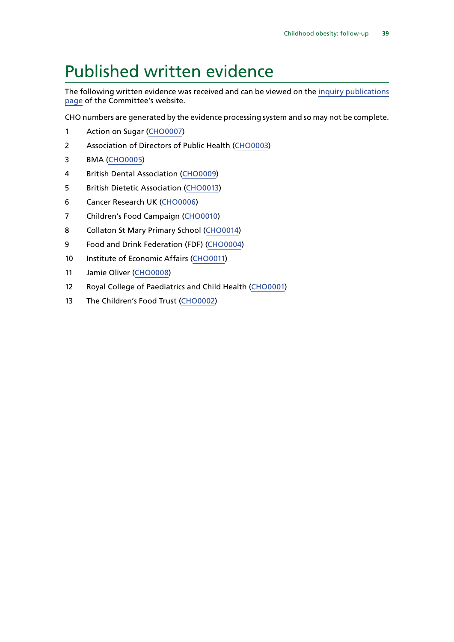### <span id="page-40-0"></span>Published written evidence

The following written evidence was received and can be viewed on the [inquiry publications](http://www.parliament.uk/business/committees/committees-a-z/commons-select/health-committee/inquiries/parliament-2015/childhood-obesity-16-17/publications/) [page](http://www.parliament.uk/business/committees/committees-a-z/commons-select/health-committee/inquiries/parliament-2015/childhood-obesity-16-17/publications/) of the Committee's website.

CHO numbers are generated by the evidence processing system and so may not be complete.

- 1 Action on Sugar ([CHO0007](http://data.parliament.uk/WrittenEvidence/CommitteeEvidence.svc/EvidenceDocument/Health/Childhood%20obesity%20followup/written/45921.html))
- Association of Directors of Public Health [\(CHO0003\)](http://data.parliament.uk/WrittenEvidence/CommitteeEvidence.svc/EvidenceDocument/Health/Childhood%20obesity%20followup/written/45511.html)
- BMA [\(CHO0005\)](http://data.parliament.uk/WrittenEvidence/CommitteeEvidence.svc/EvidenceDocument/Health/Childhood%20obesity%20followup/written/45800.html)
- British Dental Association [\(CHO0009](http://data.parliament.uk/WrittenEvidence/CommitteeEvidence.svc/EvidenceDocument/Health/Childhood%20obesity%20followup/written/46043.html))
- British Dietetic Association [\(CHO0013\)](http://data.parliament.uk/WrittenEvidence/CommitteeEvidence.svc/EvidenceDocument/Health/Childhood%20obesity%20followup/written/46730.html)
- Cancer Research UK [\(CHO0006\)](http://data.parliament.uk/WrittenEvidence/CommitteeEvidence.svc/EvidenceDocument/Health/Childhood%20obesity%20followup/written/45910.html)
- Children's Food Campaign [\(CHO0010](http://data.parliament.uk/WrittenEvidence/CommitteeEvidence.svc/EvidenceDocument/Health/Childhood%20obesity%20followup/written/46287.html))
- Collaton St Mary Primary School ([CHO0014\)](http://data.parliament.uk/WrittenEvidence/CommitteeEvidence.svc/EvidenceDocument/Health/Childhood%20obesity%20followup/written/46762.html)
- Food and Drink Federation (FDF) [\(CHO0004\)](http://data.parliament.uk/WrittenEvidence/CommitteeEvidence.svc/EvidenceDocument/Health/Childhood%20obesity%20followup/written/45549.html)
- 10 Institute of Economic Affairs ([CHO0011\)](http://data.parliament.uk/WrittenEvidence/CommitteeEvidence.svc/EvidenceDocument/Health/Childhood%20obesity%20followup/written/46440.html)
- Jamie Oliver ([CHO0008](http://data.parliament.uk/WrittenEvidence/CommitteeEvidence.svc/EvidenceDocument/Health/Childhood%20obesity%20followup/written/46015.html))
- Royal College of Paediatrics and Child Health ([CHO0001](http://data.parliament.uk/WrittenEvidence/CommitteeEvidence.svc/EvidenceDocument/Health/Childhood%20obesity%20followup/written/45448.html))
- The Children's Food Trust ([CHO0002\)](http://data.parliament.uk/WrittenEvidence/CommitteeEvidence.svc/EvidenceDocument/Health/Childhood%20obesity%20followup/written/45463.html)